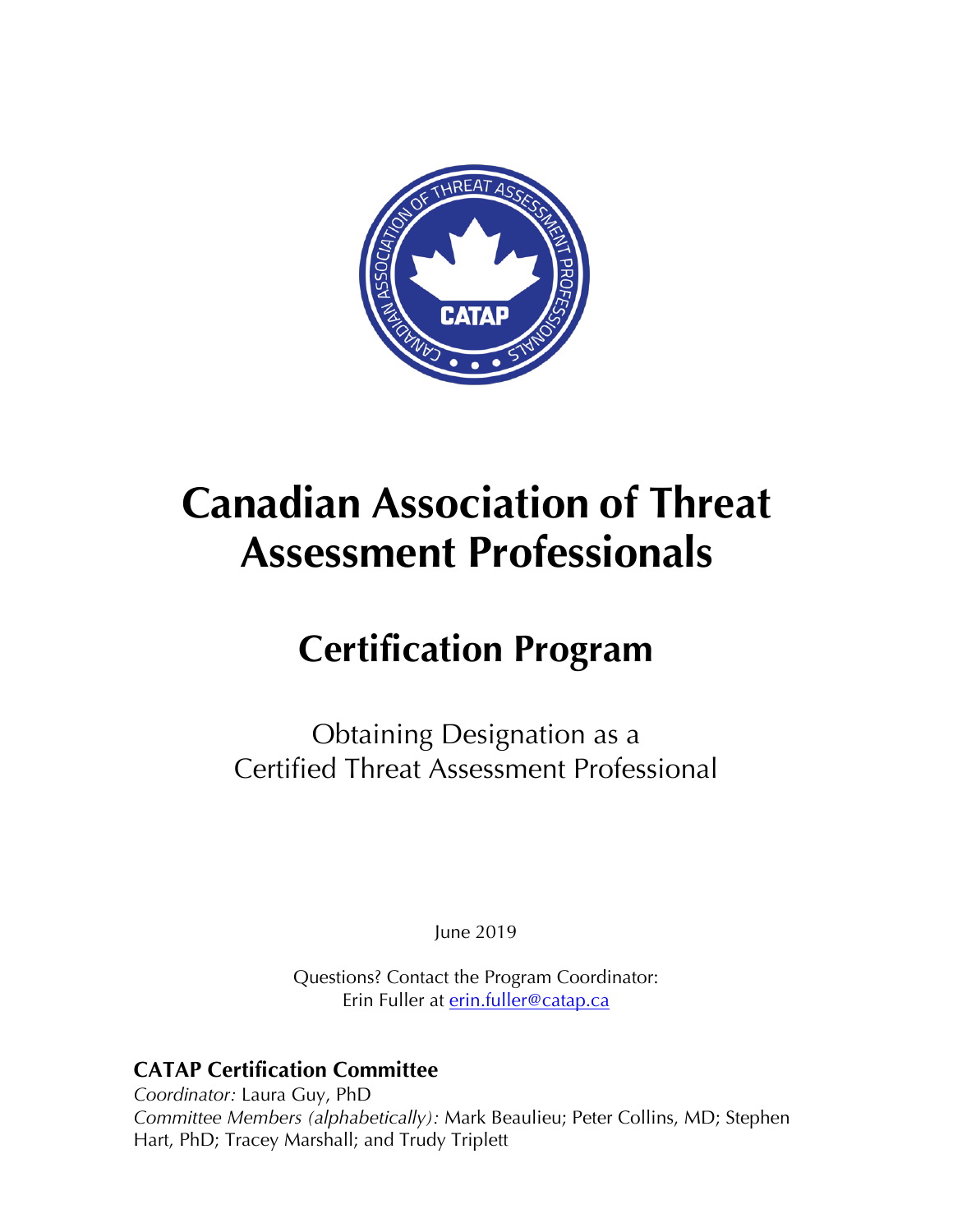

# **Canadian Association of Threat Assessment Professionals**

## **Certification Program**

Obtaining Designation as a Certified Threat Assessment Professional

June 2019

Questions? Contact the Program Coordinator: Erin Fuller at erin.fuller@catap.ca

### **CATAP Certification Committee**

*Coordinator:* Laura Guy, PhD *Committee Members (alphabetically):* Mark Beaulieu; Peter Collins, MD; Stephen Hart, PhD; Tracey Marshall; and Trudy Triplett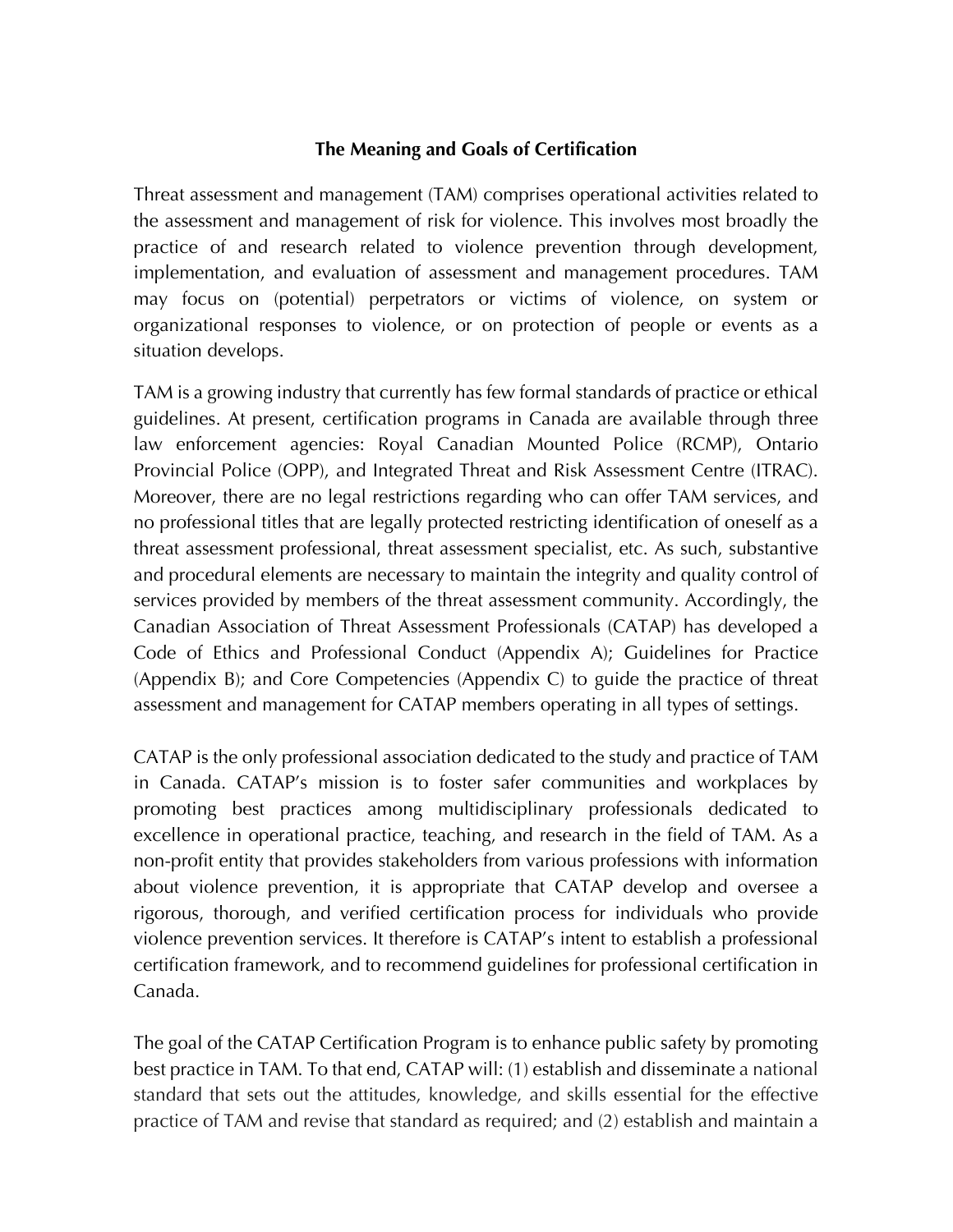### **The Meaning and Goals of Certification**

Threat assessment and management (TAM) comprises operational activities related to the assessment and management of risk for violence. This involves most broadly the practice of and research related to violence prevention through development, implementation, and evaluation of assessment and management procedures. TAM may focus on (potential) perpetrators or victims of violence, on system or organizational responses to violence, or on protection of people or events as a situation develops.

TAM is a growing industry that currently has few formal standards of practice or ethical guidelines. At present, certification programs in Canada are available through three law enforcement agencies: Royal Canadian Mounted Police (RCMP), Ontario Provincial Police (OPP), and Integrated Threat and Risk Assessment Centre (ITRAC). Moreover, there are no legal restrictions regarding who can offer TAM services, and no professional titles that are legally protected restricting identification of oneself as a threat assessment professional, threat assessment specialist, etc. As such, substantive and procedural elements are necessary to maintain the integrity and quality control of services provided by members of the threat assessment community. Accordingly, the Canadian Association of Threat Assessment Professionals (CATAP) has developed a Code of Ethics and Professional Conduct (Appendix A); Guidelines for Practice (Appendix B); and Core Competencies (Appendix C) to guide the practice of threat assessment and management for CATAP members operating in all types of settings.

CATAP is the only professional association dedicated to the study and practice of TAM in Canada. CATAP's mission is to foster safer communities and workplaces by promoting best practices among multidisciplinary professionals dedicated to excellence in operational practice, teaching, and research in the field of TAM. As a non-profit entity that provides stakeholders from various professions with information about violence prevention, it is appropriate that CATAP develop and oversee a rigorous, thorough, and verified certification process for individuals who provide violence prevention services. It therefore is CATAP's intent to establish a professional certification framework, and to recommend guidelines for professional certification in Canada.

The goal of the CATAP Certification Program is to enhance public safety by promoting best practice in TAM. To that end, CATAP will: (1) establish and disseminate a national standard that sets out the attitudes, knowledge, and skills essential for the effective practice of TAM and revise that standard as required; and (2) establish and maintain a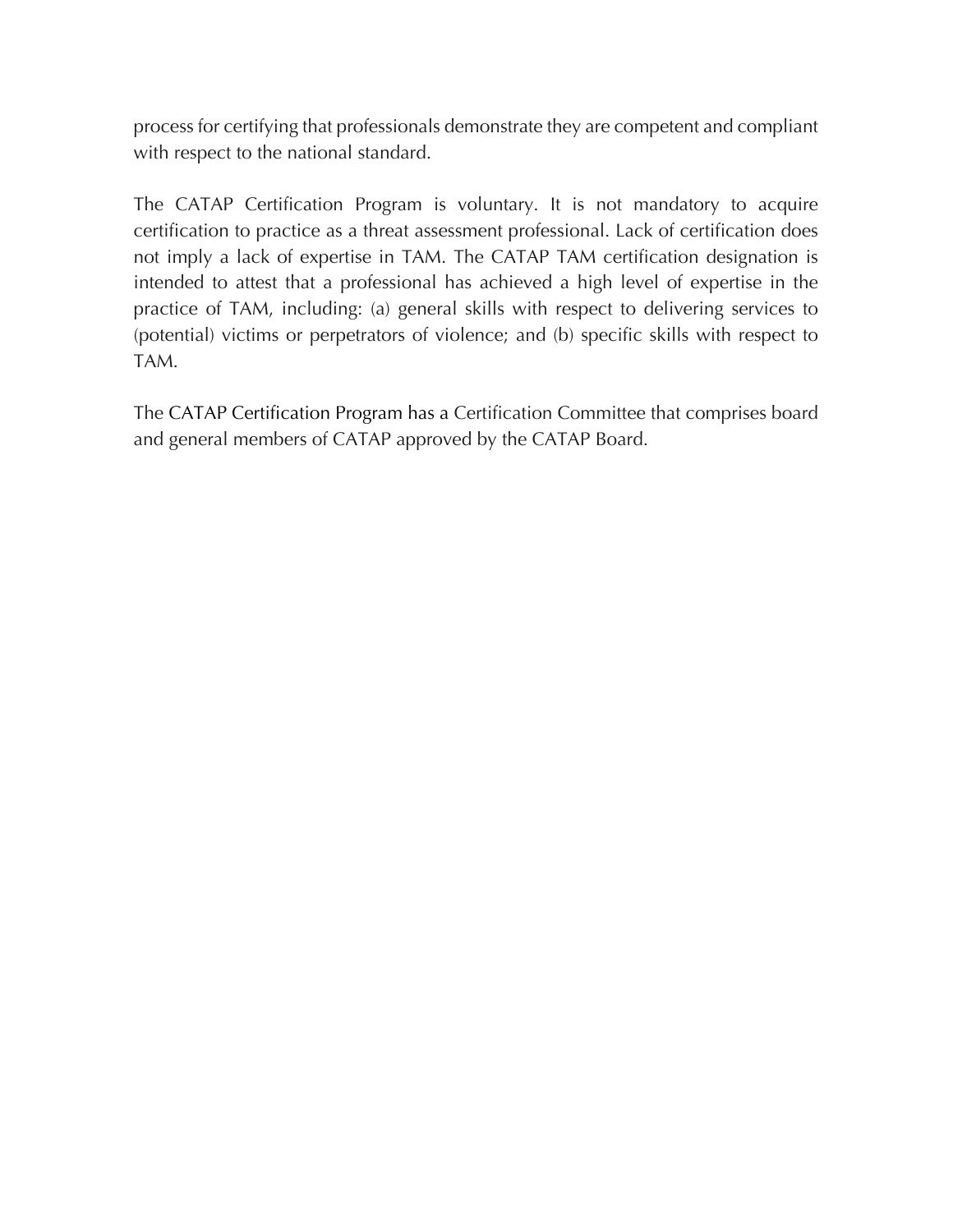process for certifying that professionals demonstrate they are competent and compliant with respect to the national standard.

The CATAP Certification Program is voluntary. It is not mandatory to acquire certification to practice as a threat assessment professional. Lack of certification does not imply a lack of expertise in TAM. The CATAP TAM certification designation is intended to attest that a professional has achieved a high level of expertise in the practice of TAM, including: (a) general skills with respect to delivering services to (potential) victims or perpetrators of violence; and (b) specific skills with respect to TAM.

The CATAP Certification Program has a Certification Committee that comprises board and general members of CATAP approved by the CATAP Board.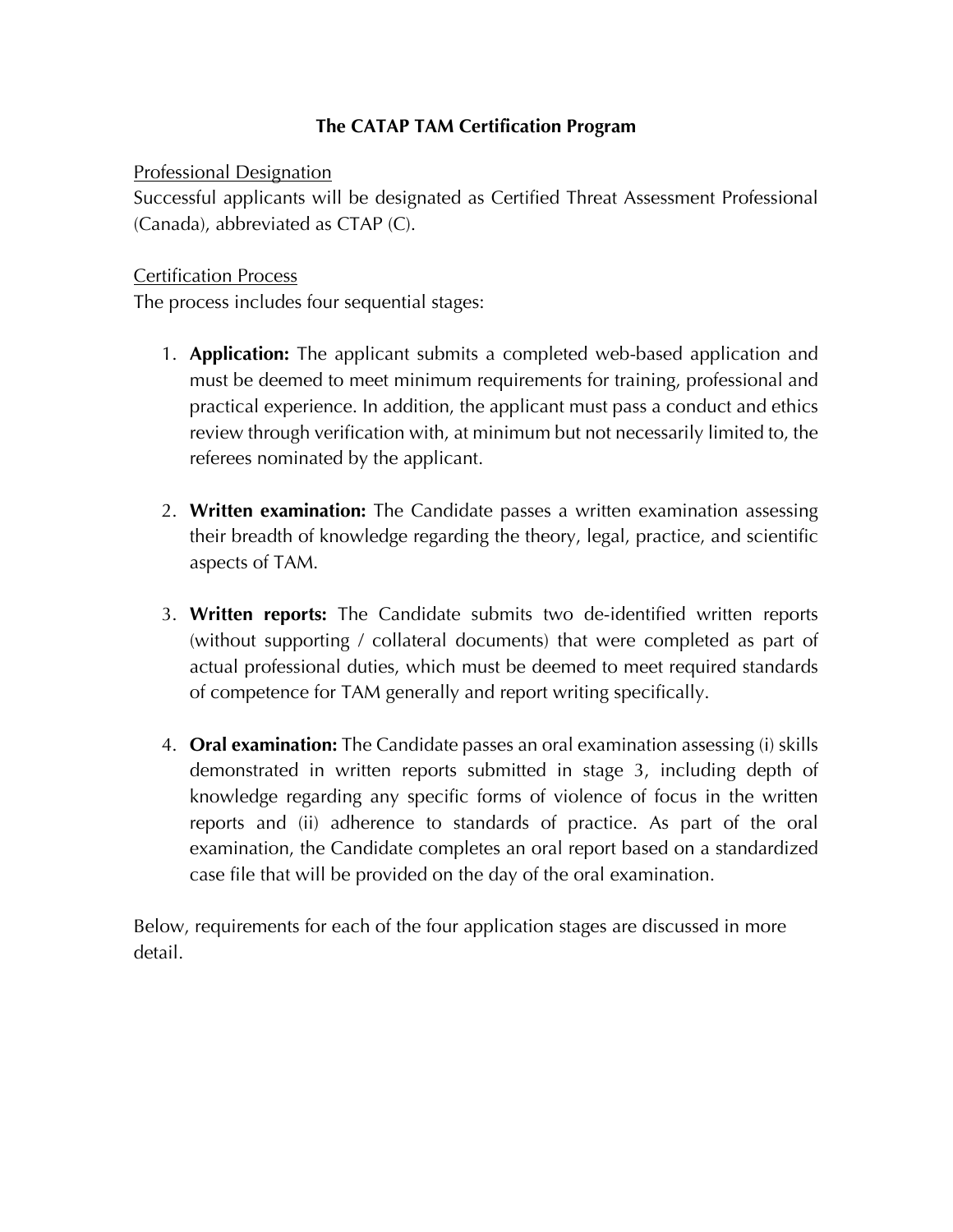### **The CATAP TAM Certification Program**

Professional Designation

Successful applicants will be designated as Certified Threat Assessment Professional (Canada), abbreviated as CTAP (C).

### Certification Process

The process includes four sequential stages:

- 1. **Application:** The applicant submits a completed web-based application and must be deemed to meet minimum requirements for training, professional and practical experience. In addition, the applicant must pass a conduct and ethics review through verification with, at minimum but not necessarily limited to, the referees nominated by the applicant.
- 2. **Written examination:** The Candidate passes a written examination assessing their breadth of knowledge regarding the theory, legal, practice, and scientific aspects of TAM.
- 3. **Written reports:** The Candidate submits two de-identified written reports (without supporting / collateral documents) that were completed as part of actual professional duties, which must be deemed to meet required standards of competence for TAM generally and report writing specifically.
- 4. **Oral examination:** The Candidate passes an oral examination assessing (i) skills demonstrated in written reports submitted in stage 3, including depth of knowledge regarding any specific forms of violence of focus in the written reports and (ii) adherence to standards of practice. As part of the oral examination, the Candidate completes an oral report based on a standardized case file that will be provided on the day of the oral examination.

Below, requirements for each of the four application stages are discussed in more detail.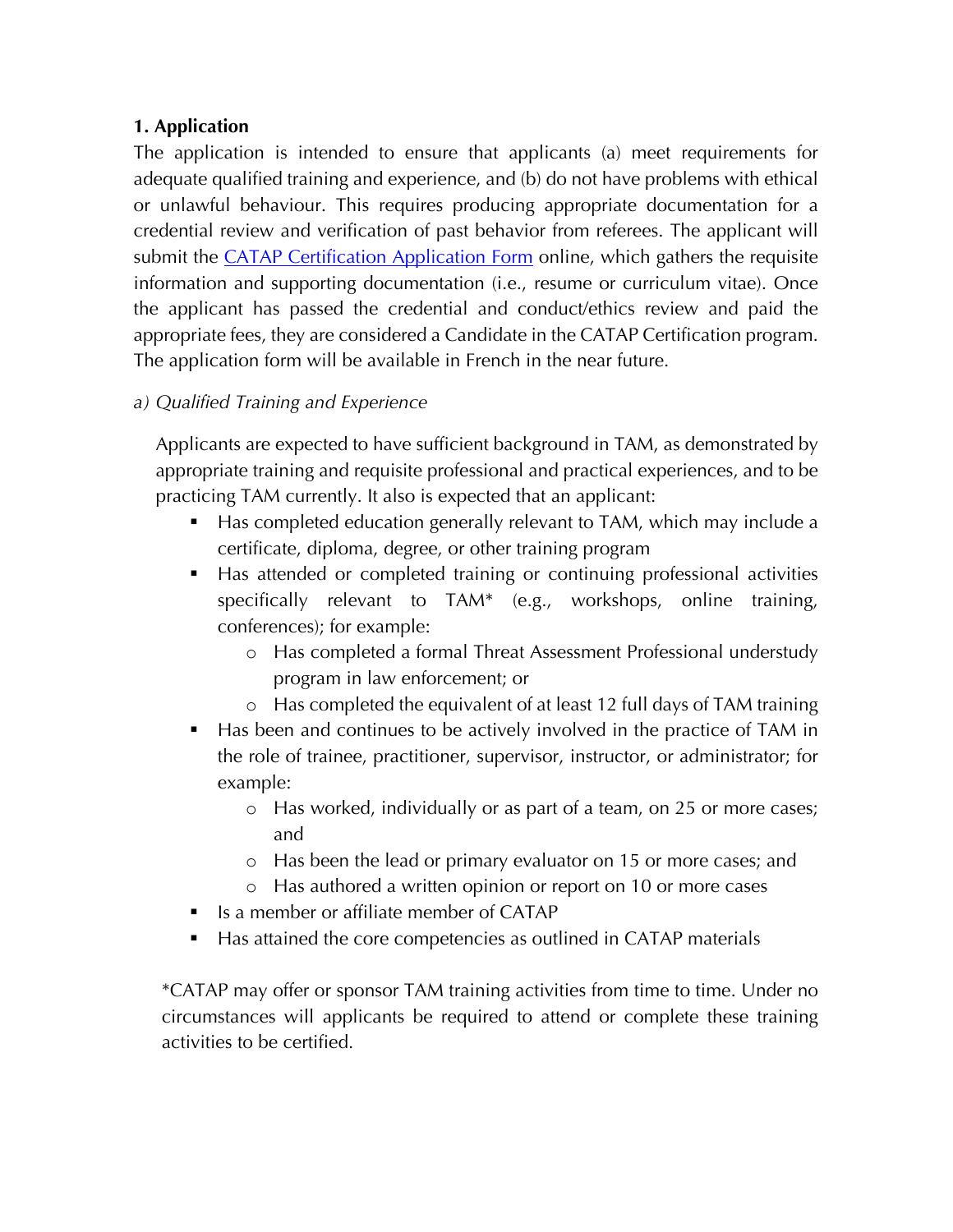### **1. Application**

The application is intended to ensure that applicants (a) meet requirements for adequate qualified training and experience, and (b) do not have problems with ethical or unlawful behaviour. This requires producing appropriate documentation for a credential review and verification of past behavior from referees. The applicant will submit the CATAP Certification Application Form online, which gathers the requisite information and supporting documentation (i.e., resume or curriculum vitae). Once the applicant has passed the credential and conduct/ethics review and paid the appropriate fees, they are considered a Candidate in the CATAP Certification program. The application form will be available in French in the near future.

### *a) Qualified Training and Experience*

Applicants are expected to have sufficient background in TAM, as demonstrated by appropriate training and requisite professional and practical experiences, and to be practicing TAM currently. It also is expected that an applicant:

- § Has completed education generally relevant to TAM, which may include a certificate, diploma, degree, or other training program
- § Has attended or completed training or continuing professional activities specifically relevant to TAM\* (e.g., workshops, online training, conferences); for example:
	- o Has completed a formal Threat Assessment Professional understudy program in law enforcement; or
	- o Has completed the equivalent of at least 12 full days of TAM training
- Has been and continues to be actively involved in the practice of TAM in the role of trainee, practitioner, supervisor, instructor, or administrator; for example:
	- o Has worked, individually or as part of a team, on 25 or more cases; and
	- o Has been the lead or primary evaluator on 15 or more cases; and
	- o Has authored a written opinion or report on 10 or more cases
- Is a member or affiliate member of CATAP
- Has attained the core competencies as outlined in CATAP materials

\*CATAP may offer or sponsor TAM training activities from time to time. Under no circumstances will applicants be required to attend or complete these training activities to be certified.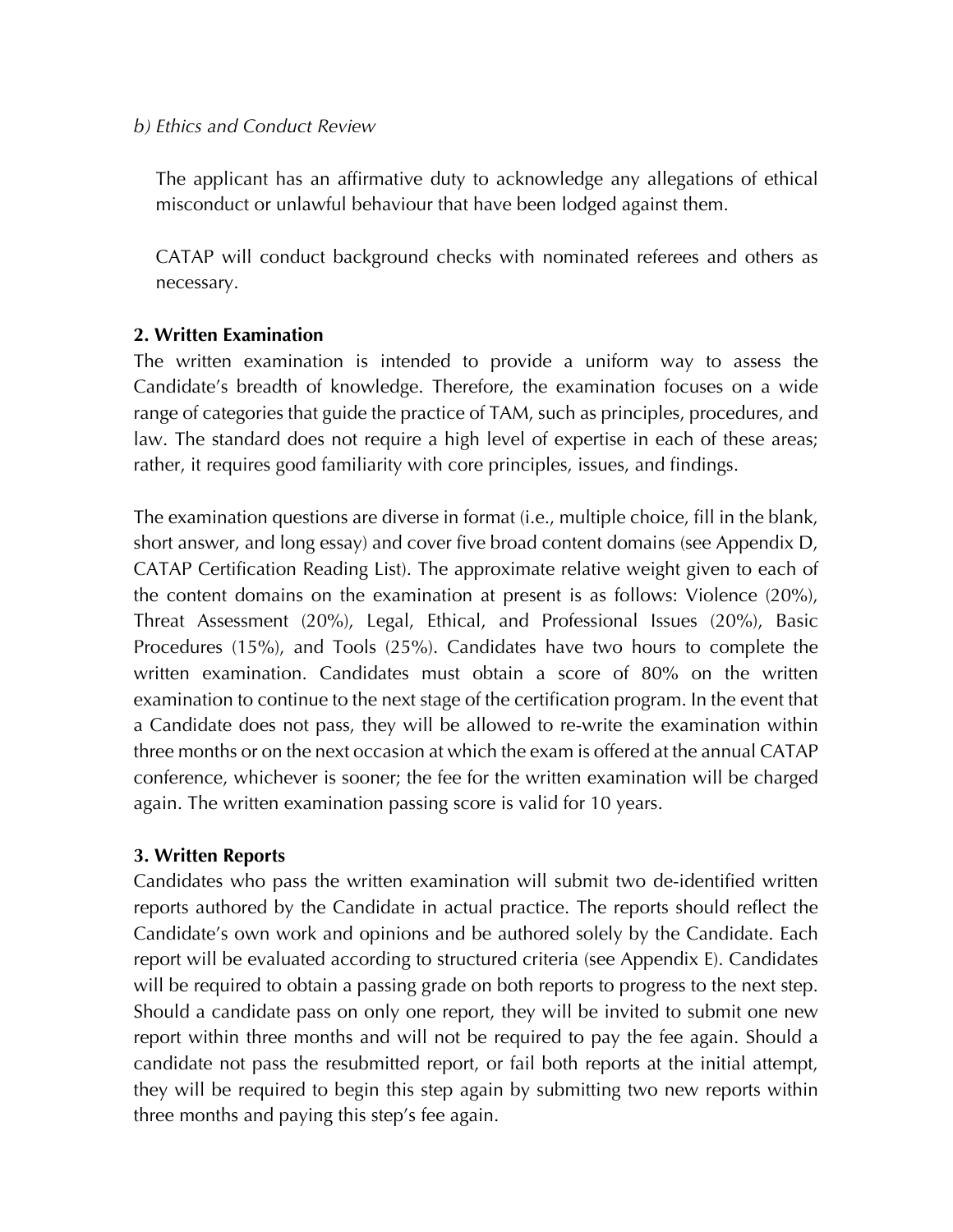### *b) Ethics and Conduct Review*

The applicant has an affirmative duty to acknowledge any allegations of ethical misconduct or unlawful behaviour that have been lodged against them.

CATAP will conduct background checks with nominated referees and others as necessary.

### **2. Written Examination**

The written examination is intended to provide a uniform way to assess the Candidate's breadth of knowledge. Therefore, the examination focuses on a wide range of categories that guide the practice of TAM, such as principles, procedures, and law. The standard does not require a high level of expertise in each of these areas; rather, it requires good familiarity with core principles, issues, and findings.

The examination questions are diverse in format (i.e., multiple choice, fill in the blank, short answer, and long essay) and cover five broad content domains (see Appendix D, CATAP Certification Reading List). The approximate relative weight given to each of the content domains on the examination at present is as follows: Violence (20%), Threat Assessment (20%), Legal, Ethical, and Professional Issues (20%), Basic Procedures (15%), and Tools (25%). Candidates have two hours to complete the written examination. Candidates must obtain a score of 80% on the written examination to continue to the next stage of the certification program. In the event that a Candidate does not pass, they will be allowed to re-write the examination within three months or on the next occasion at which the exam is offered at the annual CATAP conference, whichever is sooner; the fee for the written examination will be charged again. The written examination passing score is valid for 10 years.

### **3. Written Reports**

Candidates who pass the written examination will submit two de-identified written reports authored by the Candidate in actual practice. The reports should reflect the Candidate's own work and opinions and be authored solely by the Candidate. Each report will be evaluated according to structured criteria (see Appendix E). Candidates will be required to obtain a passing grade on both reports to progress to the next step. Should a candidate pass on only one report, they will be invited to submit one new report within three months and will not be required to pay the fee again. Should a candidate not pass the resubmitted report, or fail both reports at the initial attempt, they will be required to begin this step again by submitting two new reports within three months and paying this step's fee again.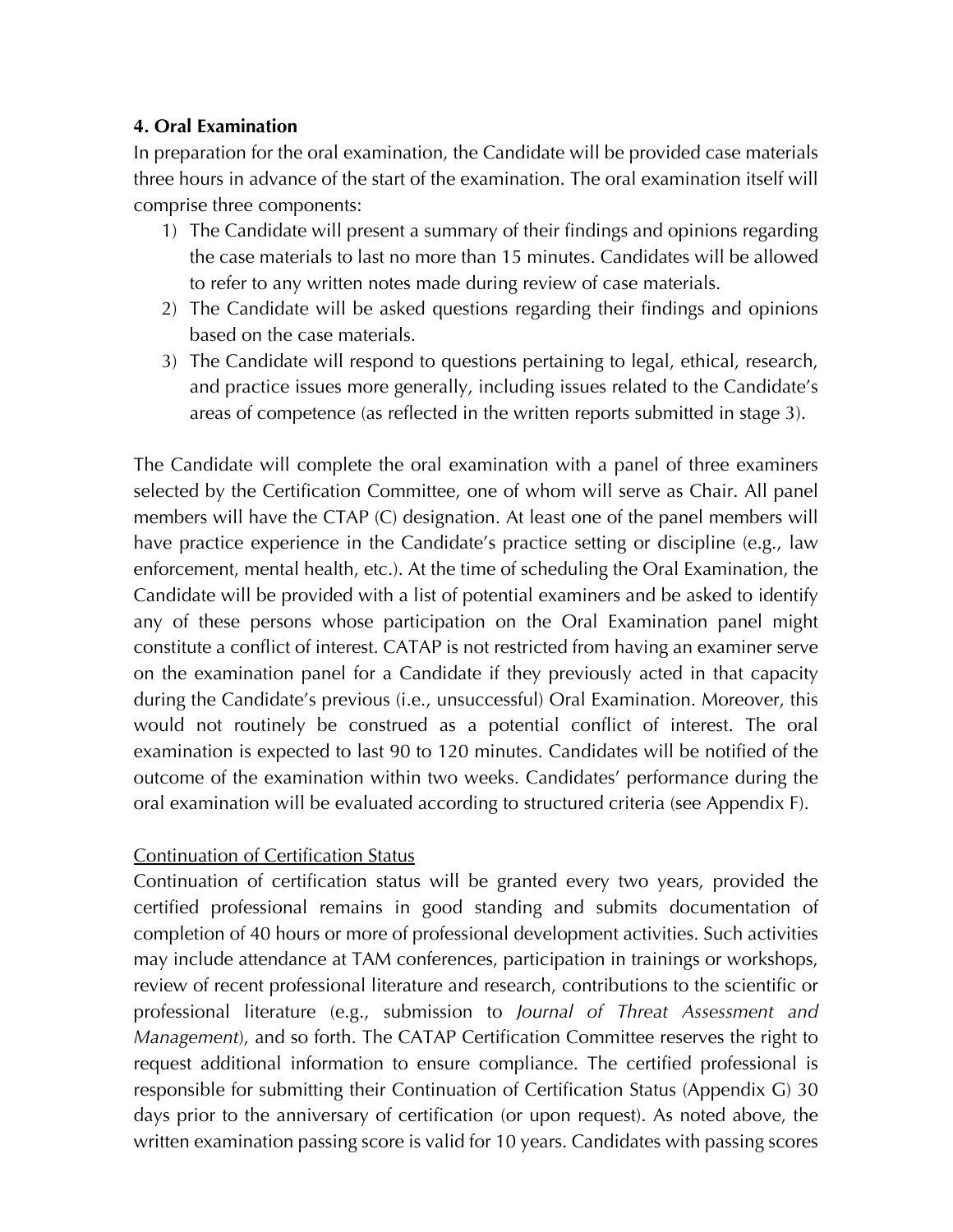### **4. Oral Examination**

In preparation for the oral examination, the Candidate will be provided case materials three hours in advance of the start of the examination. The oral examination itself will comprise three components:

- 1) The Candidate will present a summary of their findings and opinions regarding the case materials to last no more than 15 minutes. Candidates will be allowed to refer to any written notes made during review of case materials.
- 2) The Candidate will be asked questions regarding their findings and opinions based on the case materials.
- 3) The Candidate will respond to questions pertaining to legal, ethical, research, and practice issues more generally, including issues related to the Candidate's areas of competence (as reflected in the written reports submitted in stage 3).

The Candidate will complete the oral examination with a panel of three examiners selected by the Certification Committee, one of whom will serve as Chair. All panel members will have the CTAP (C) designation. At least one of the panel members will have practice experience in the Candidate's practice setting or discipline (e.g., law enforcement, mental health, etc.). At the time of scheduling the Oral Examination, the Candidate will be provided with a list of potential examiners and be asked to identify any of these persons whose participation on the Oral Examination panel might constitute a conflict of interest. CATAP is not restricted from having an examiner serve on the examination panel for a Candidate if they previously acted in that capacity during the Candidate's previous (i.e., unsuccessful) Oral Examination. Moreover, this would not routinely be construed as a potential conflict of interest. The oral examination is expected to last 90 to 120 minutes. Candidates will be notified of the outcome of the examination within two weeks. Candidates' performance during the oral examination will be evaluated according to structured criteria (see Appendix F).

### Continuation of Certification Status

Continuation of certification status will be granted every two years, provided the certified professional remains in good standing and submits documentation of completion of 40 hours or more of professional development activities. Such activities may include attendance at TAM conferences, participation in trainings or workshops, review of recent professional literature and research, contributions to the scientific or professional literature (e.g., submission to *Journal of Threat Assessment and Management*), and so forth. The CATAP Certification Committee reserves the right to request additional information to ensure compliance. The certified professional is responsible for submitting their Continuation of Certification Status (Appendix G) 30 days prior to the anniversary of certification (or upon request). As noted above, the written examination passing score is valid for 10 years. Candidates with passing scores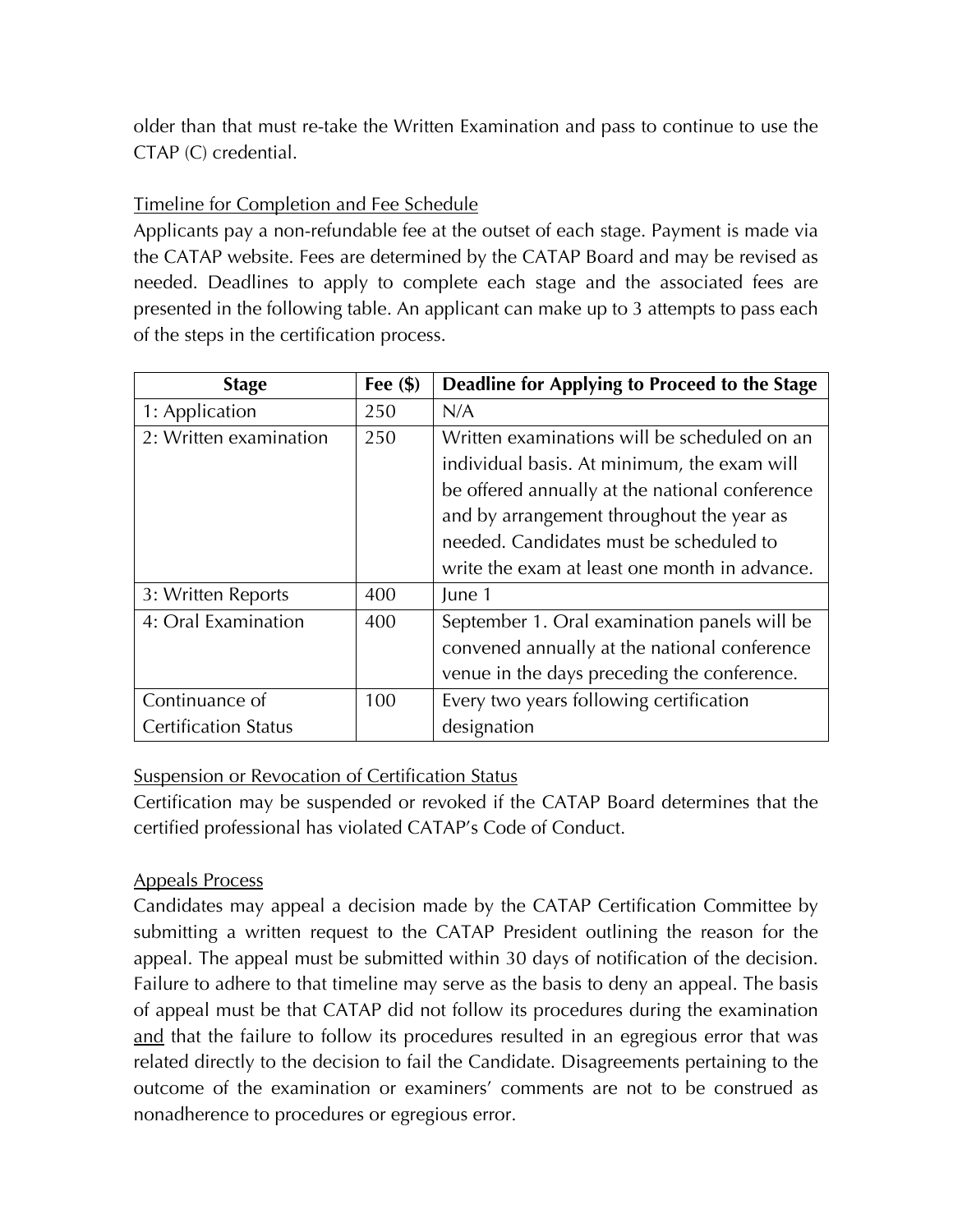older than that must re-take the Written Examination and pass to continue to use the CTAP (C) credential.

### Timeline for Completion and Fee Schedule

Applicants pay a non-refundable fee at the outset of each stage. Payment is made via the CATAP website. Fees are determined by the CATAP Board and may be revised as needed. Deadlines to apply to complete each stage and the associated fees are presented in the following table. An applicant can make up to 3 attempts to pass each of the steps in the certification process.

| <b>Stage</b>                | Fee $(\$)$ | Deadline for Applying to Proceed to the Stage  |
|-----------------------------|------------|------------------------------------------------|
| 1: Application              | 250        | N/A                                            |
| 2: Written examination      | 250        | Written examinations will be scheduled on an   |
|                             |            | individual basis. At minimum, the exam will    |
|                             |            | be offered annually at the national conference |
|                             |            | and by arrangement throughout the year as      |
|                             |            | needed. Candidates must be scheduled to        |
|                             |            | write the exam at least one month in advance.  |
| 3: Written Reports          | 400        | June 1                                         |
| 4: Oral Examination         | 400        | September 1. Oral examination panels will be   |
|                             |            | convened annually at the national conference   |
|                             |            | venue in the days preceding the conference.    |
| Continuance of              | 100        | Every two years following certification        |
| <b>Certification Status</b> |            | designation                                    |

### **Suspension or Revocation of Certification Status**

Certification may be suspended or revoked if the CATAP Board determines that the certified professional has violated CATAP's Code of Conduct.

### Appeals Process

Candidates may appeal a decision made by the CATAP Certification Committee by submitting a written request to the CATAP President outlining the reason for the appeal. The appeal must be submitted within 30 days of notification of the decision. Failure to adhere to that timeline may serve as the basis to deny an appeal. The basis of appeal must be that CATAP did not follow its procedures during the examination and that the failure to follow its procedures resulted in an egregious error that was related directly to the decision to fail the Candidate. Disagreements pertaining to the outcome of the examination or examiners' comments are not to be construed as nonadherence to procedures or egregious error.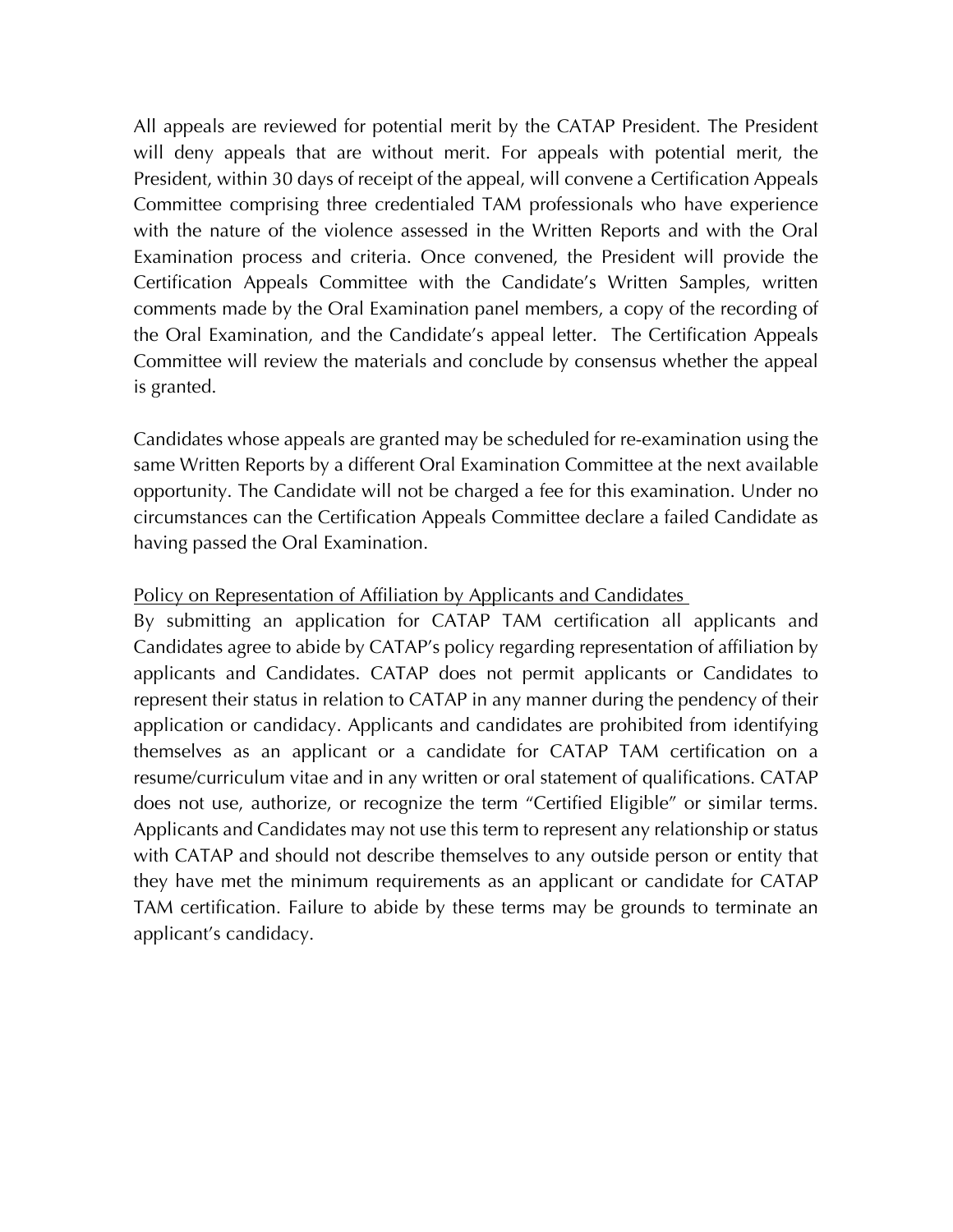All appeals are reviewed for potential merit by the CATAP President. The President will deny appeals that are without merit. For appeals with potential merit, the President, within 30 days of receipt of the appeal, will convene a Certification Appeals Committee comprising three credentialed TAM professionals who have experience with the nature of the violence assessed in the Written Reports and with the Oral Examination process and criteria. Once convened, the President will provide the Certification Appeals Committee with the Candidate's Written Samples, written comments made by the Oral Examination panel members, a copy of the recording of the Oral Examination, and the Candidate's appeal letter. The Certification Appeals Committee will review the materials and conclude by consensus whether the appeal is granted.

Candidates whose appeals are granted may be scheduled for re-examination using the same Written Reports by a different Oral Examination Committee at the next available opportunity. The Candidate will not be charged a fee for this examination. Under no circumstances can the Certification Appeals Committee declare a failed Candidate as having passed the Oral Examination.

#### Policy on Representation of Affiliation by Applicants and Candidates

By submitting an application for CATAP TAM certification all applicants and Candidates agree to abide by CATAP's policy regarding representation of affiliation by applicants and Candidates. CATAP does not permit applicants or Candidates to represent their status in relation to CATAP in any manner during the pendency of their application or candidacy. Applicants and candidates are prohibited from identifying themselves as an applicant or a candidate for CATAP TAM certification on a resume/curriculum vitae and in any written or oral statement of qualifications. CATAP does not use, authorize, or recognize the term "Certified Eligible" or similar terms. Applicants and Candidates may not use this term to represent any relationship or status with CATAP and should not describe themselves to any outside person or entity that they have met the minimum requirements as an applicant or candidate for CATAP TAM certification. Failure to abide by these terms may be grounds to terminate an applicant's candidacy.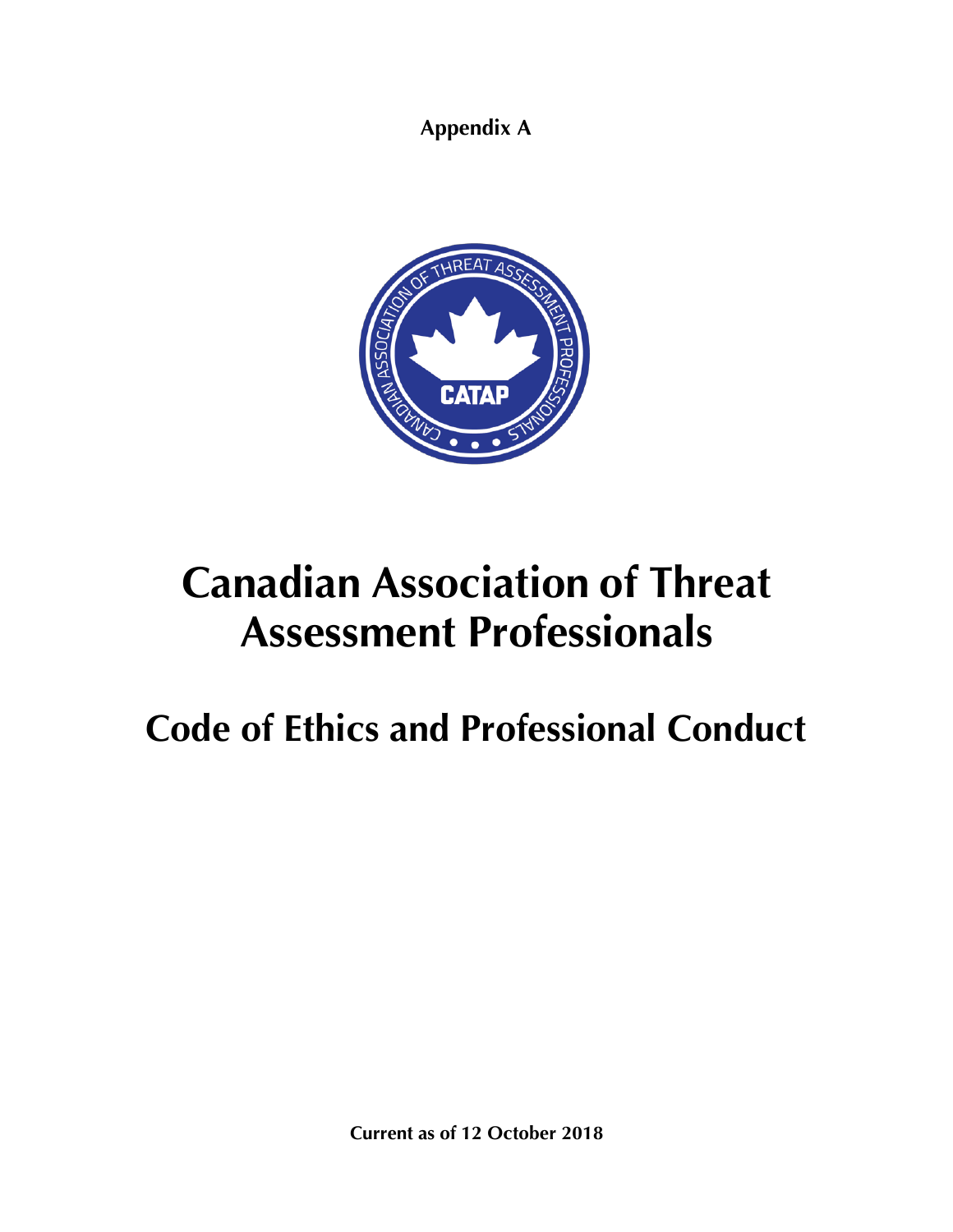**Appendix A**



# **Canadian Association of Threat Assessment Professionals**

## **Code of Ethics and Professional Conduct**

**Current as of 12 October 2018**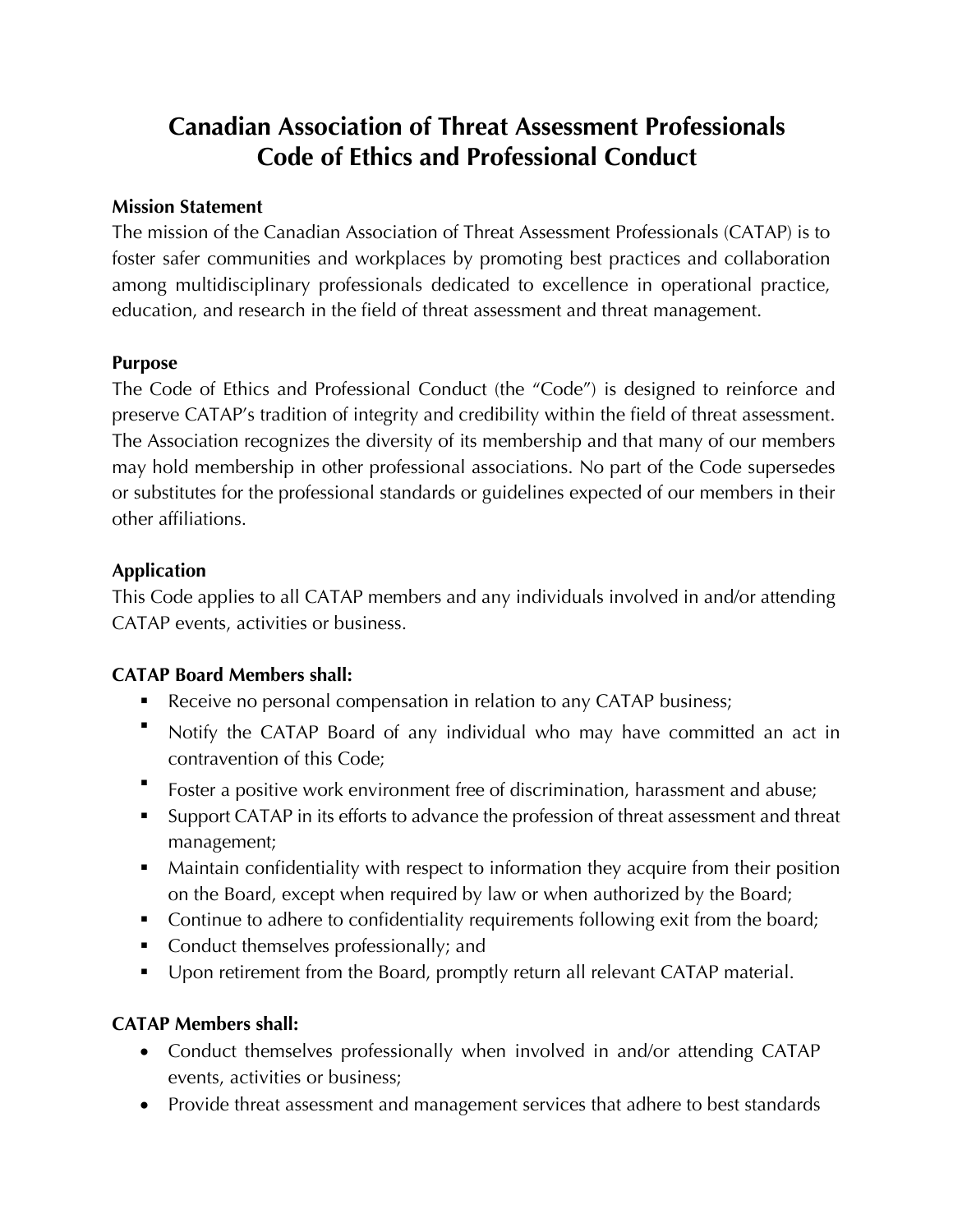## **Canadian Association of Threat Assessment Professionals Code of Ethics and Professional Conduct**

### **Mission Statement**

The mission of the Canadian Association of Threat Assessment Professionals (CATAP) is to foster safer communities and workplaces by promoting best practices and collaboration among multidisciplinary professionals dedicated to excellence in operational practice, education, and research in the field of threat assessment and threat management.

### **Purpose**

The Code of Ethics and Professional Conduct (the "Code") is designed to reinforce and preserve CATAP's tradition of integrity and credibility within the field of threat assessment. The Association recognizes the diversity of its membership and that many of our members may hold membership in other professional associations. No part of the Code supersedes or substitutes for the professional standards or guidelines expected of our members in their other affiliations.

### **Application**

This Code applies to all CATAP members and any individuals involved in and/or attending CATAP events, activities or business.

### **CATAP Board Members shall:**

- Receive no personal compensation in relation to any CATAP business;
- § Notify the CATAP Board of any individual who may have committed an act in contravention of this Code;
- § Foster a positive work environment free of discrimination, harassment and abuse;
- Support CATAP in its efforts to advance the profession of threat assessment and threat management;
- Maintain confidentiality with respect to information they acquire from their position on the Board, except when required by law or when authorized by the Board;
- Continue to adhere to confidentiality requirements following exit from the board;
- Conduct themselves professionally; and
- Upon retirement from the Board, promptly return all relevant CATAP material.

### **CATAP Members shall:**

- Conduct themselves professionally when involved in and/or attending CATAP events, activities or business;
- Provide threat assessment and management services that adhere to best standards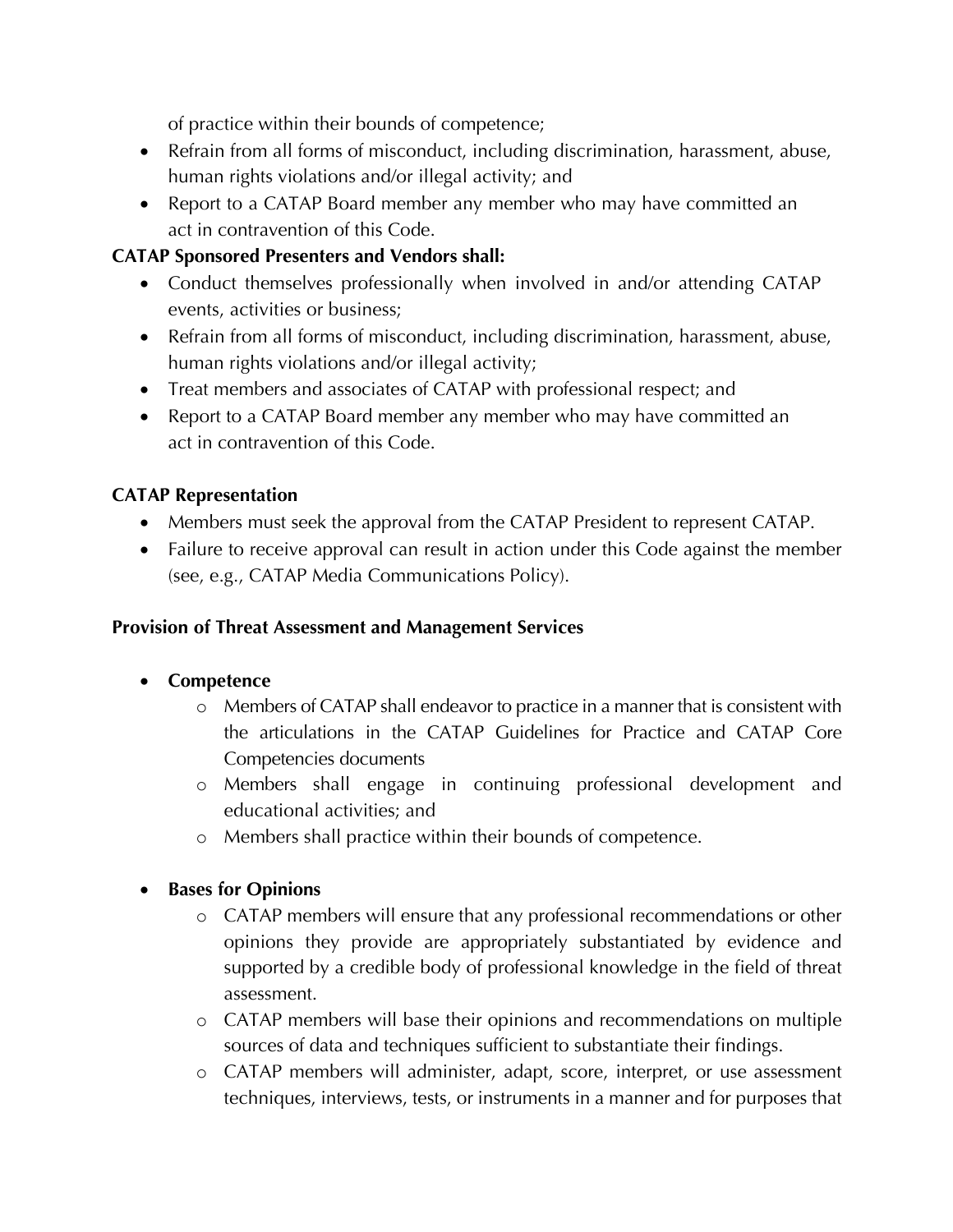of practice within their bounds of competence;

- Refrain from all forms of misconduct, including discrimination, harassment, abuse, human rights violations and/or illegal activity; and
- Report to a CATAP Board member any member who may have committed an act in contravention of this Code.

### **CATAP Sponsored Presenters and Vendors shall:**

- Conduct themselves professionally when involved in and/or attending CATAP events, activities or business;
- Refrain from all forms of misconduct, including discrimination, harassment, abuse, human rights violations and/or illegal activity;
- Treat members and associates of CATAP with professional respect; and
- Report to a CATAP Board member any member who may have committed an act in contravention of this Code.

### **CATAP Representation**

- Members must seek the approval from the CATAP President to represent CATAP.
- Failure to receive approval can result in action under this Code against the member (see, e.g., CATAP Media Communications Policy).

### **Provision of Threat Assessment and Management Services**

### • **Competence**

- o Members of CATAP shall endeavor to practice in a manner that is consistent with the articulations in the CATAP Guidelines for Practice and CATAP Core Competencies documents
- o Members shall engage in continuing professional development and educational activities; and
- o Members shall practice within their bounds of competence.

### • **Bases for Opinions**

- o CATAP members will ensure that any professional recommendations or other opinions they provide are appropriately substantiated by evidence and supported by a credible body of professional knowledge in the field of threat assessment.
- o CATAP members will base their opinions and recommendations on multiple sources of data and techniques sufficient to substantiate their findings.
- o CATAP members will administer, adapt, score, interpret, or use assessment techniques, interviews, tests, or instruments in a manner and for purposes that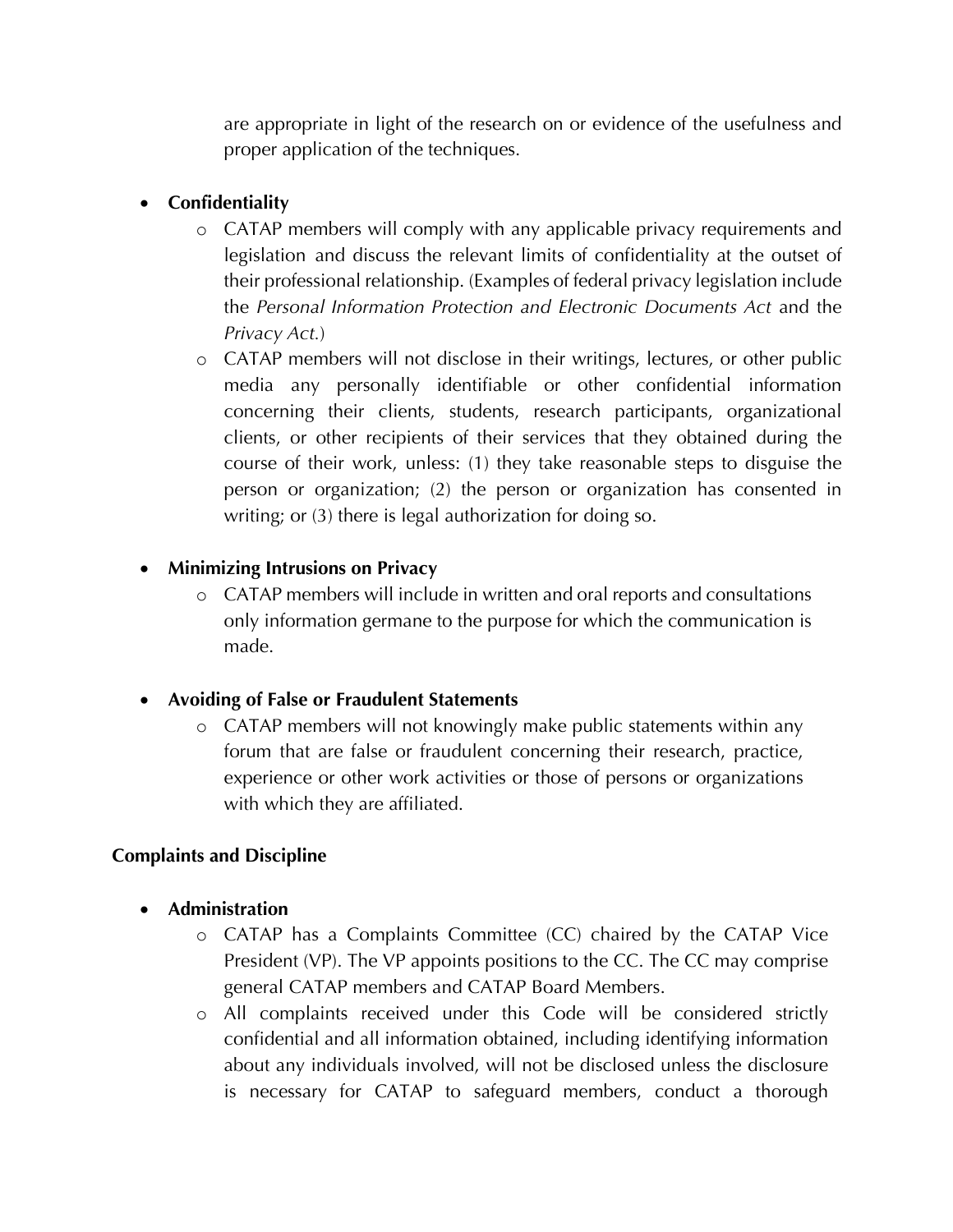are appropriate in light of the research on or evidence of the usefulness and proper application of the techniques.

### • **Confidentiality**

- o CATAP members will comply with any applicable privacy requirements and legislation and discuss the relevant limits of confidentiality at the outset of their professional relationship. (Examples of federal privacy legislation include the *Personal Information Protection and Electronic Documents Act* and the *Privacy Act.*)
- o CATAP members will not disclose in their writings, lectures, or other public media any personally identifiable or other confidential information concerning their clients, students, research participants, organizational clients, or other recipients of their services that they obtained during the course of their work, unless: (1) they take reasonable steps to disguise the person or organization; (2) the person or organization has consented in writing; or (3) there is legal authorization for doing so.

### • **Minimizing Intrusions on Privacy**

o CATAP members will include in written and oral reports and consultations only information germane to the purpose for which the communication is made.

### • **Avoiding of False or Fraudulent Statements**

o CATAP members will not knowingly make public statements within any forum that are false or fraudulent concerning their research, practice, experience or other work activities or those of persons or organizations with which they are affiliated.

### **Complaints and Discipline**

- **Administration**
	- o CATAP has a Complaints Committee (CC) chaired by the CATAP Vice President (VP). The VP appoints positions to the CC. The CC may comprise general CATAP members and CATAP Board Members.
	- o All complaints received under this Code will be considered strictly confidential and all information obtained, including identifying information about any individuals involved, will not be disclosed unless the disclosure is necessary for CATAP to safeguard members, conduct a thorough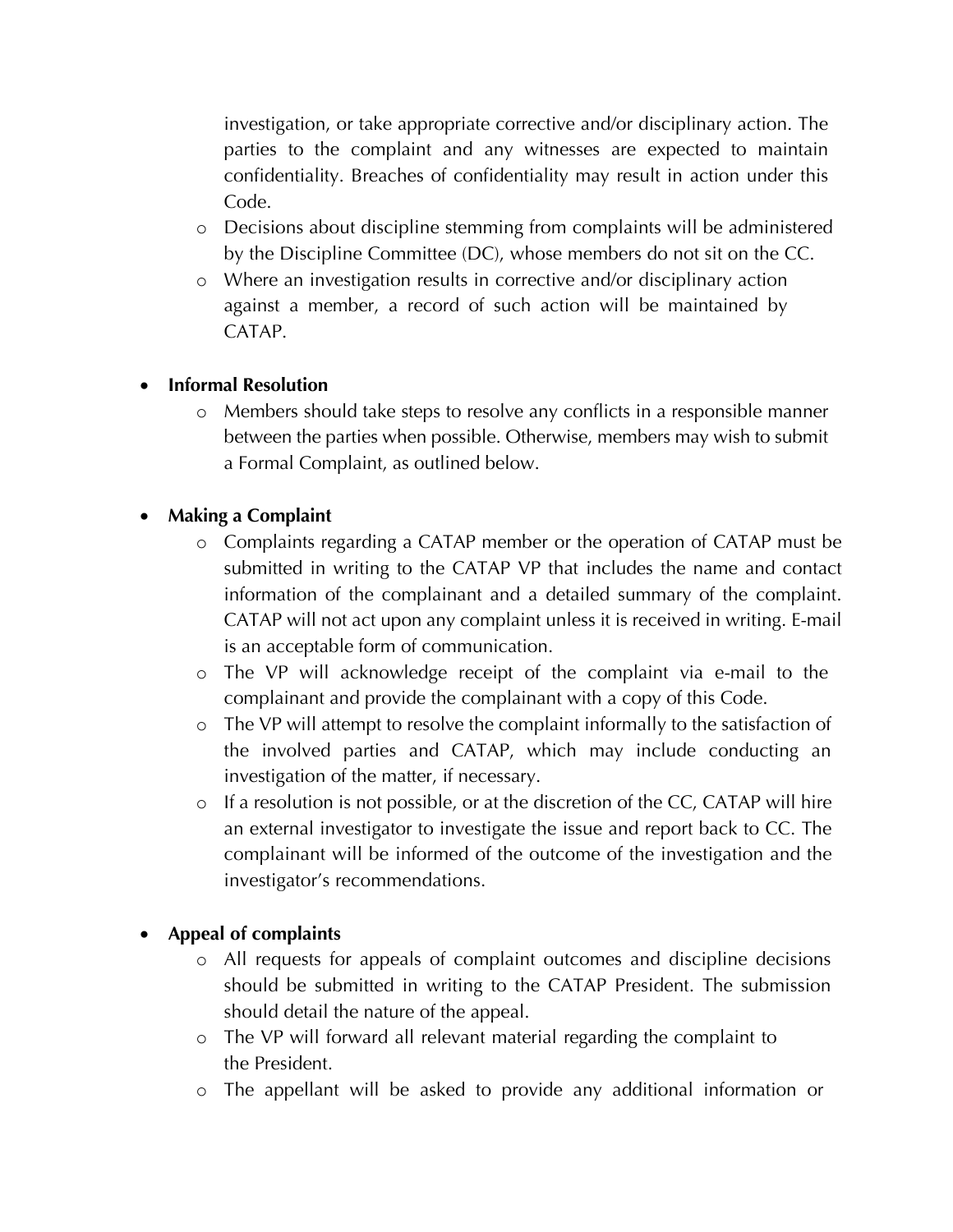investigation, or take appropriate corrective and/or disciplinary action. The parties to the complaint and any witnesses are expected to maintain confidentiality. Breaches of confidentiality may result in action under this Code.

- o Decisions about discipline stemming from complaints will be administered by the Discipline Committee (DC), whose members do not sit on the CC.
- o Where an investigation results in corrective and/or disciplinary action against a member, a record of such action will be maintained by CATAP.

### • **Informal Resolution**

o Members should take steps to resolve any conflicts in a responsible manner between the parties when possible. Otherwise, members may wish to submit a Formal Complaint, as outlined below.

### • **Making a Complaint**

- o Complaints regarding a CATAP member or the operation of CATAP must be submitted in writing to the CATAP VP that includes the name and contact information of the complainant and a detailed summary of the complaint. CATAP will not act upon any complaint unless it is received in writing. E-mail is an acceptable form of communication.
- o The VP will acknowledge receipt of the complaint via e-mail to the complainant and provide the complainant with a copy of this Code.
- o The VP will attempt to resolve the complaint informally to the satisfaction of the involved parties and CATAP, which may include conducting an investigation of the matter, if necessary.
- o If a resolution is not possible, or at the discretion of the CC, CATAP will hire an external investigator to investigate the issue and report back to CC. The complainant will be informed of the outcome of the investigation and the investigator's recommendations.

### • **Appeal of complaints**

- o All requests for appeals of complaint outcomes and discipline decisions should be submitted in writing to the CATAP President. The submission should detail the nature of the appeal.
- o The VP will forward all relevant material regarding the complaint to the President.
- o The appellant will be asked to provide any additional information or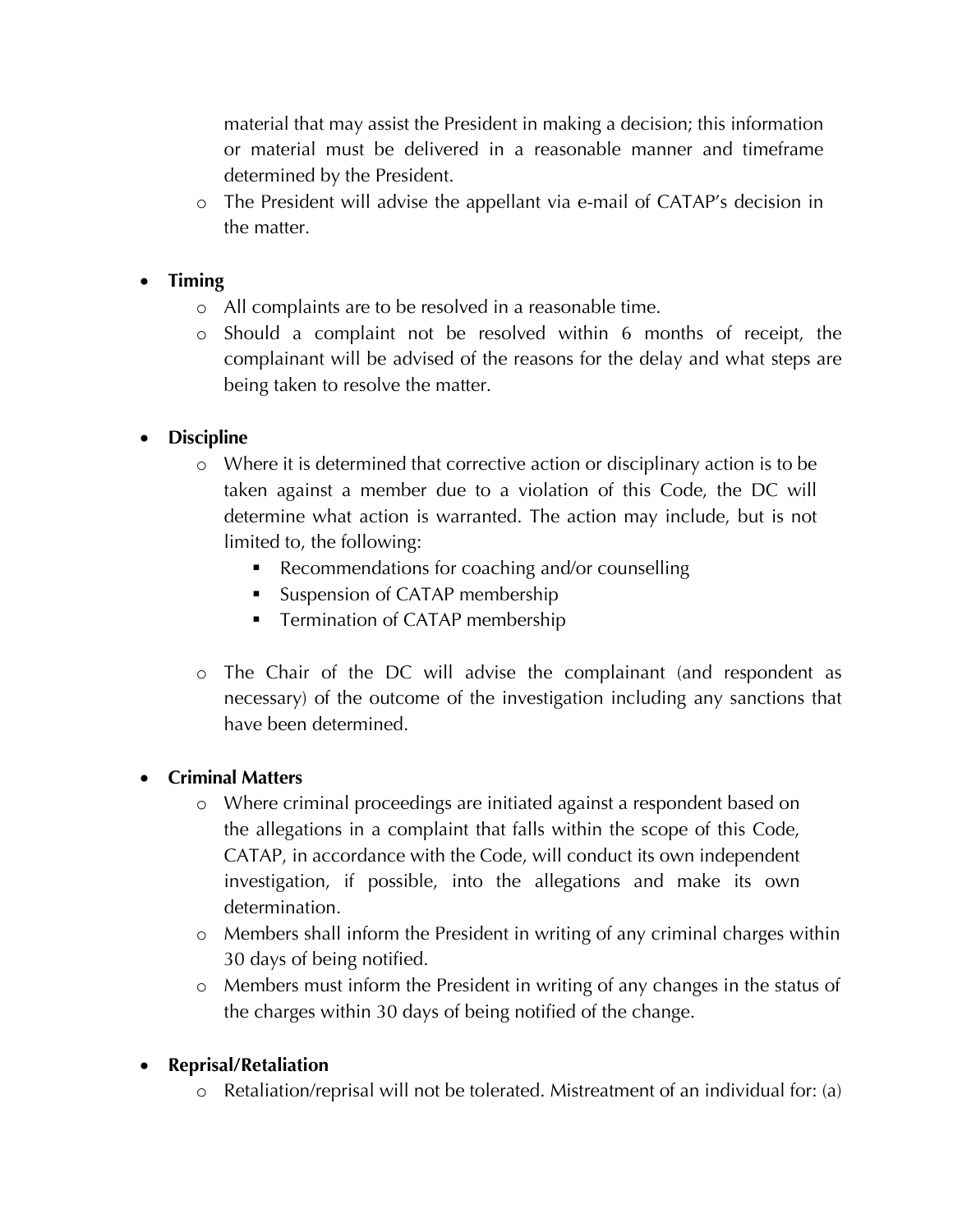material that may assist the President in making a decision; this information or material must be delivered in a reasonable manner and timeframe determined by the President.

o The President will advise the appellant via e-mail of CATAP's decision in the matter.

### • **Timing**

- o All complaints are to be resolved in a reasonable time.
- o Should a complaint not be resolved within 6 months of receipt, the complainant will be advised of the reasons for the delay and what steps are being taken to resolve the matter.

### • **Discipline**

- o Where it is determined that corrective action or disciplinary action is to be taken against a member due to a violation of this Code, the DC will determine what action is warranted. The action may include, but is not limited to, the following:
	- Recommendations for coaching and/or counselling
	- Suspension of CATAP membership
	- Termination of CATAP membership
- o The Chair of the DC will advise the complainant (and respondent as necessary) of the outcome of the investigation including any sanctions that have been determined.

### • **Criminal Matters**

- o Where criminal proceedings are initiated against a respondent based on the allegations in a complaint that falls within the scope of this Code, CATAP, in accordance with the Code, will conduct its own independent investigation, if possible, into the allegations and make its own determination.
- o Members shall inform the President in writing of any criminal charges within 30 days of being notified.
- o Members must inform the President in writing of any changes in the status of the charges within 30 days of being notified of the change.

### • **Reprisal/Retaliation**

o Retaliation/reprisal will not be tolerated. Mistreatment of an individual for: (a)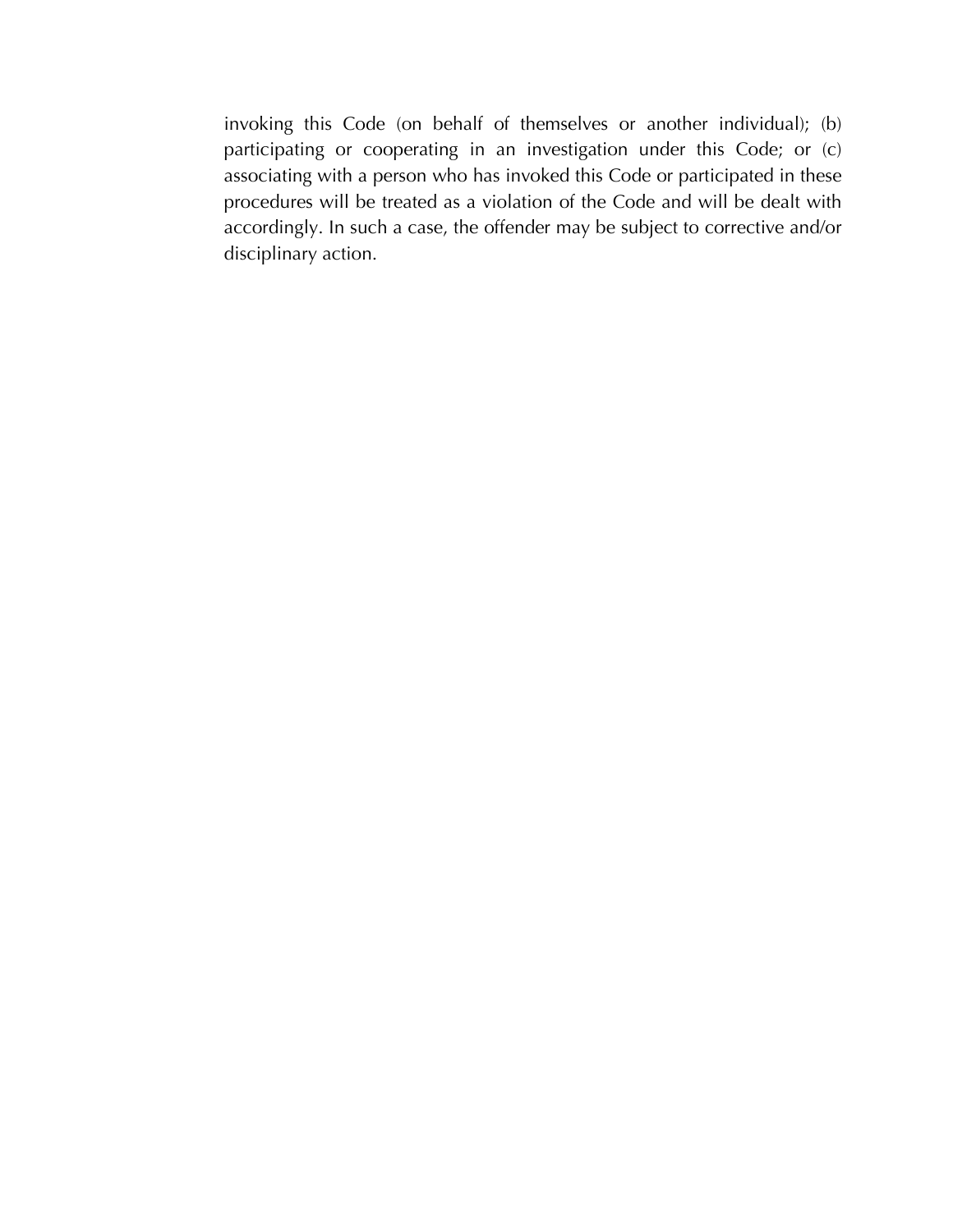invoking this Code (on behalf of themselves or another individual); (b) participating or cooperating in an investigation under this Code; or (c) associating with a person who has invoked this Code or participated in these procedures will be treated as a violation of the Code and will be dealt with accordingly. In such a case, the offender may be subject to corrective and/or disciplinary action.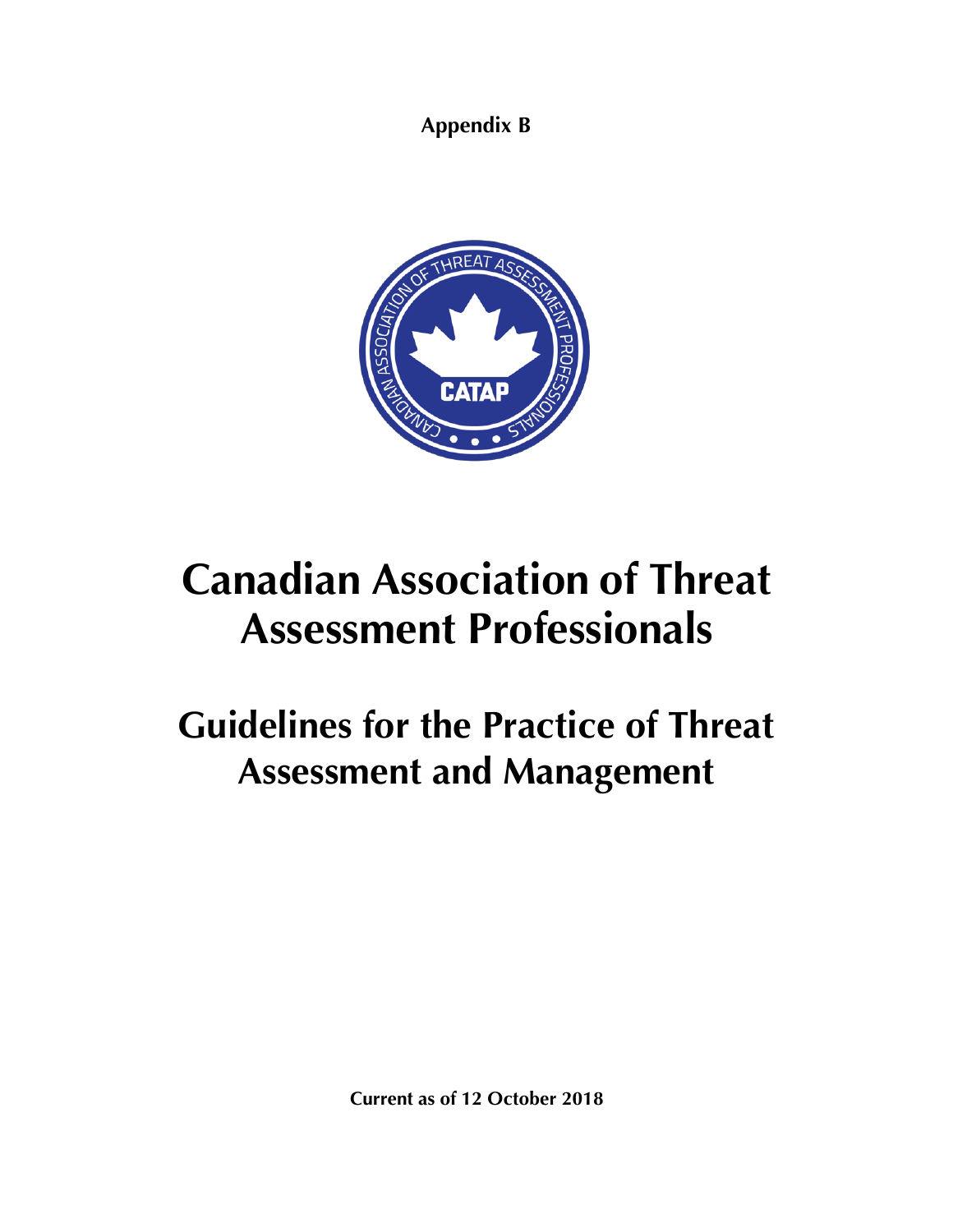**Appendix B**



# **Canadian Association of Threat Assessment Professionals**

## **Guidelines for the Practice of Threat Assessment and Management**

**Current as of 12 October 2018**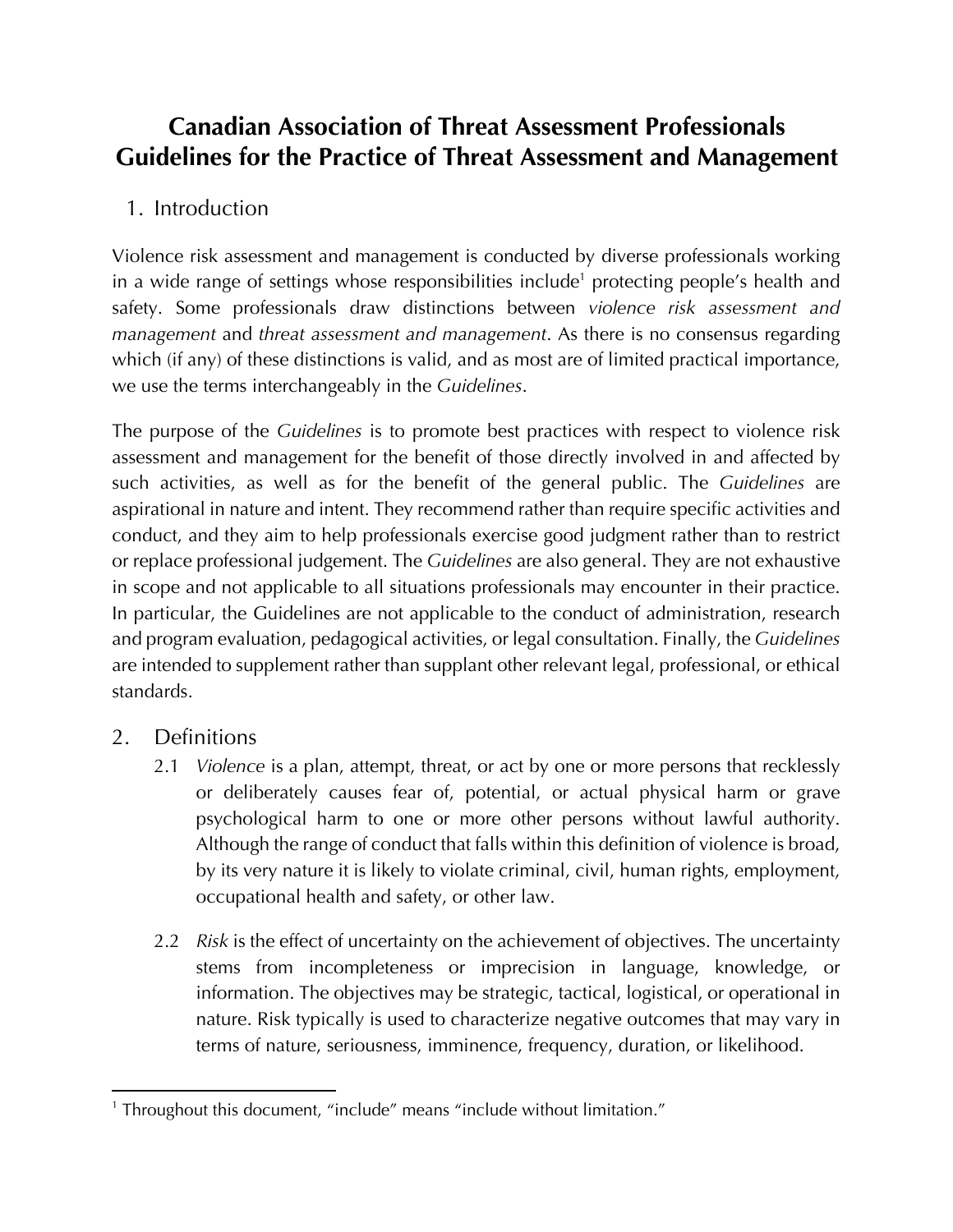### **Canadian Association of Threat Assessment Professionals Guidelines for the Practice of Threat Assessment and Management**

### 1. Introduction

Violence risk assessment and management is conducted by diverse professionals working in a wide range of settings whose responsibilities include<sup>1</sup> protecting people's health and safety. Some professionals draw distinctions between *violence risk assessment and management* and *threat assessment and management*. As there is no consensus regarding which (if any) of these distinctions is valid, and as most are of limited practical importance, we use the terms interchangeably in the *Guidelines*.

The purpose of the *Guidelines* is to promote best practices with respect to violence risk assessment and management for the benefit of those directly involved in and affected by such activities, as well as for the benefit of the general public. The *Guidelines* are aspirational in nature and intent. They recommend rather than require specific activities and conduct, and they aim to help professionals exercise good judgment rather than to restrict or replace professional judgement. The *Guidelines* are also general. They are not exhaustive in scope and not applicable to all situations professionals may encounter in their practice. In particular, the Guidelines are not applicable to the conduct of administration, research and program evaluation, pedagogical activities, or legal consultation. Finally, the *Guidelines* are intended to supplement rather than supplant other relevant legal, professional, or ethical standards.

### 2. Definitions

- 2.1 *Violence* is a plan, attempt, threat, or act by one or more persons that recklessly or deliberately causes fear of, potential, or actual physical harm or grave psychological harm to one or more other persons without lawful authority. Although the range of conduct that falls within this definition of violence is broad, by its very nature it is likely to violate criminal, civil, human rights, employment, occupational health and safety, or other law.
- 2.2 *Risk* is the effect of uncertainty on the achievement of objectives. The uncertainty stems from incompleteness or imprecision in language, knowledge, or information. The objectives may be strategic, tactical, logistical, or operational in nature. Risk typically is used to characterize negative outcomes that may vary in terms of nature, seriousness, imminence, frequency, duration, or likelihood.

<sup>&</sup>lt;sup>1</sup> Throughout this document, "include" means "include without limitation."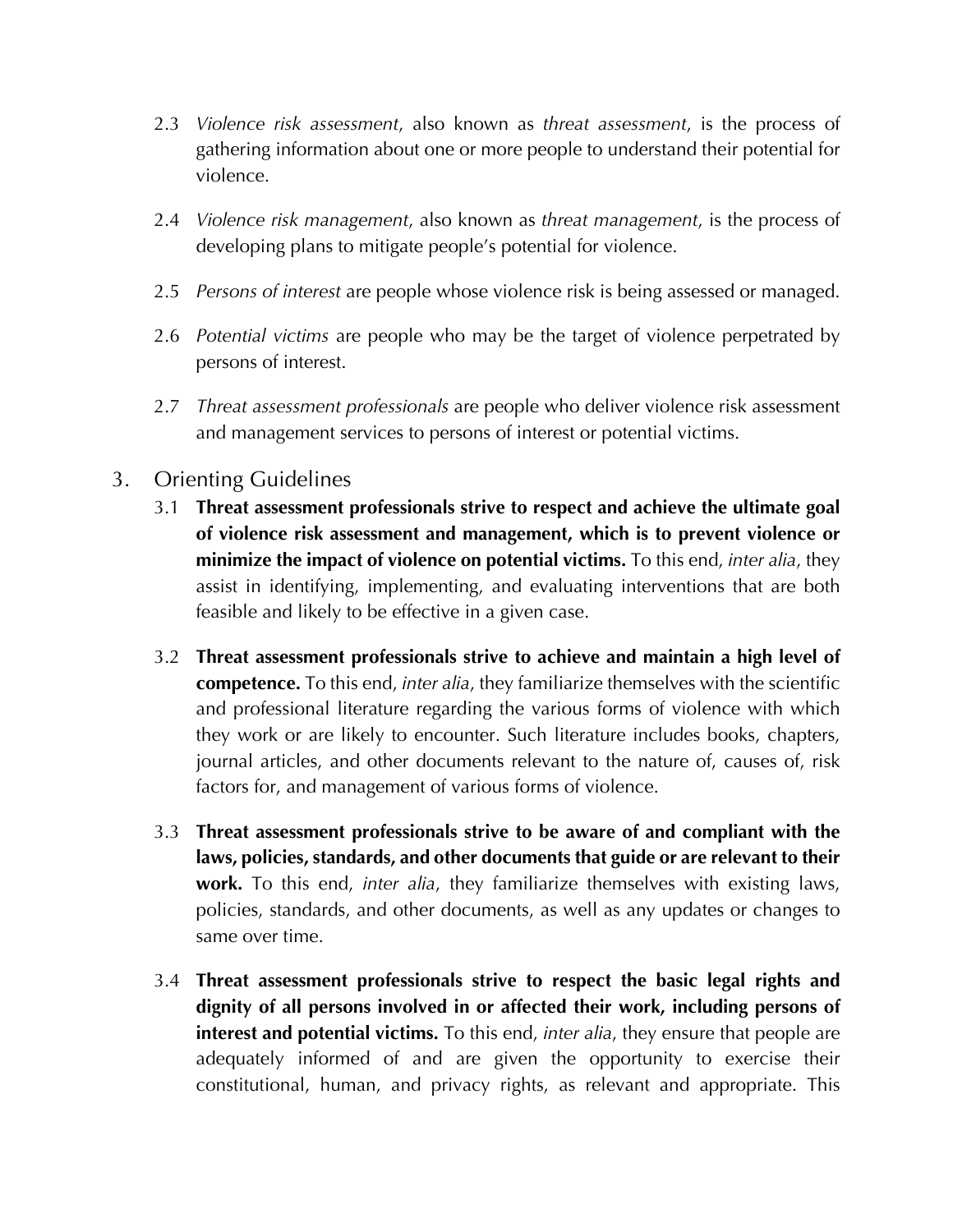- 2.3 *Violence risk assessment*, also known as *threat assessment*, is the process of gathering information about one or more people to understand their potential for violence.
- 2.4 *Violence risk management*, also known as *threat management*, is the process of developing plans to mitigate people's potential for violence.
- 2.5 *Persons of interest* are people whose violence risk is being assessed or managed.
- 2.6 *Potential victims* are people who may be the target of violence perpetrated by persons of interest.
- 2.7 *Threat assessment professionals* are people who deliver violence risk assessment and management services to persons of interest or potential victims.

### 3. Orienting Guidelines

- 3.1 **Threat assessment professionals strive to respect and achieve the ultimate goal of violence risk assessment and management, which is to prevent violence or minimize the impact of violence on potential victims.** To this end, *inter alia*, they assist in identifying, implementing, and evaluating interventions that are both feasible and likely to be effective in a given case.
- 3.2 **Threat assessment professionals strive to achieve and maintain a high level of competence.** To this end, *inter alia*, they familiarize themselves with the scientific and professional literature regarding the various forms of violence with which they work or are likely to encounter. Such literature includes books, chapters, journal articles, and other documents relevant to the nature of, causes of, risk factors for, and management of various forms of violence.
- 3.3 **Threat assessment professionals strive to be aware of and compliant with the laws, policies, standards, and other documents that guide or are relevant to their work.** To this end, *inter alia*, they familiarize themselves with existing laws, policies, standards, and other documents, as well as any updates or changes to same over time.
- 3.4 **Threat assessment professionals strive to respect the basic legal rights and dignity of all persons involved in or affected their work, including persons of interest and potential victims.** To this end, *inter alia*, they ensure that people are adequately informed of and are given the opportunity to exercise their constitutional, human, and privacy rights, as relevant and appropriate. This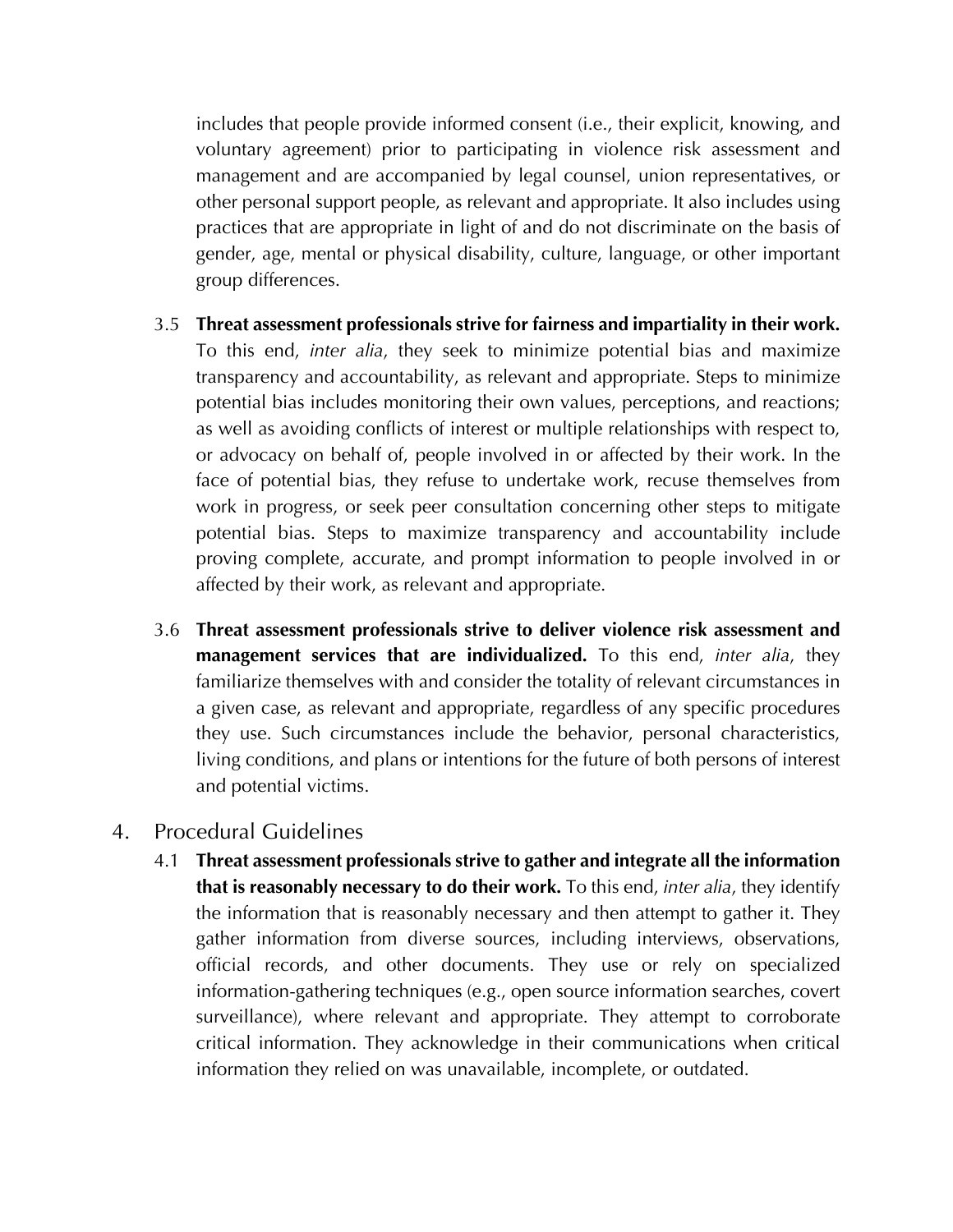includes that people provide informed consent (i.e., their explicit, knowing, and voluntary agreement) prior to participating in violence risk assessment and management and are accompanied by legal counsel, union representatives, or other personal support people, as relevant and appropriate. It also includes using practices that are appropriate in light of and do not discriminate on the basis of gender, age, mental or physical disability, culture, language, or other important group differences.

- 3.5 **Threat assessment professionals strive for fairness and impartiality in their work.** To this end, *inter alia*, they seek to minimize potential bias and maximize transparency and accountability, as relevant and appropriate. Steps to minimize potential bias includes monitoring their own values, perceptions, and reactions; as well as avoiding conflicts of interest or multiple relationships with respect to, or advocacy on behalf of, people involved in or affected by their work. In the face of potential bias, they refuse to undertake work, recuse themselves from work in progress, or seek peer consultation concerning other steps to mitigate potential bias. Steps to maximize transparency and accountability include proving complete, accurate, and prompt information to people involved in or affected by their work, as relevant and appropriate.
- 3.6 **Threat assessment professionals strive to deliver violence risk assessment and management services that are individualized.** To this end, *inter alia*, they familiarize themselves with and consider the totality of relevant circumstances in a given case, as relevant and appropriate, regardless of any specific procedures they use. Such circumstances include the behavior, personal characteristics, living conditions, and plans or intentions for the future of both persons of interest and potential victims.

### 4. Procedural Guidelines

4.1 **Threat assessment professionals strive to gather and integrate all the information that is reasonably necessary to do their work.** To this end, *inter alia*, they identify the information that is reasonably necessary and then attempt to gather it. They gather information from diverse sources, including interviews, observations, official records, and other documents. They use or rely on specialized information-gathering techniques (e.g., open source information searches, covert surveillance), where relevant and appropriate. They attempt to corroborate critical information. They acknowledge in their communications when critical information they relied on was unavailable, incomplete, or outdated.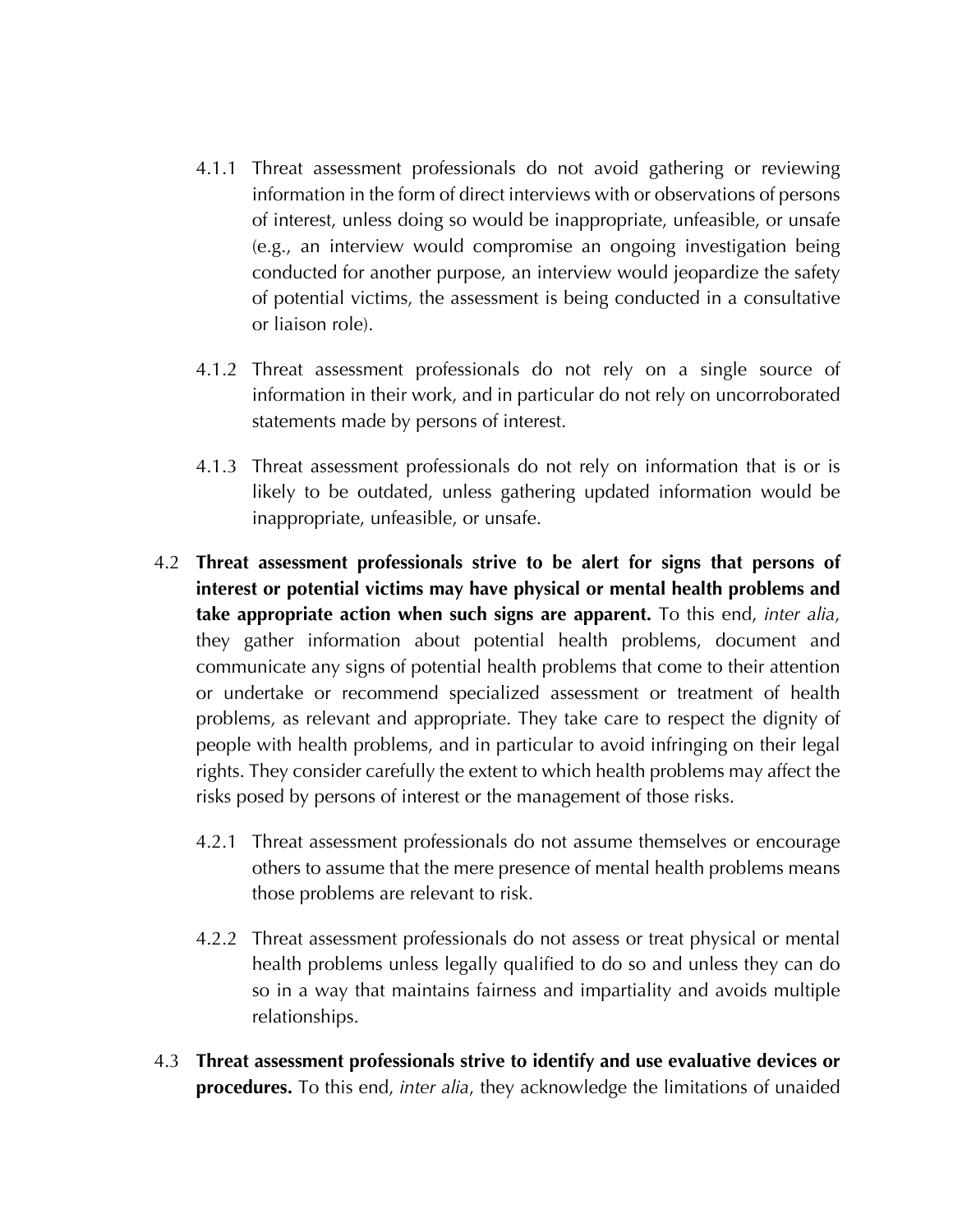- 4.1.1 Threat assessment professionals do not avoid gathering or reviewing information in the form of direct interviews with or observations of persons of interest, unless doing so would be inappropriate, unfeasible, or unsafe (e.g., an interview would compromise an ongoing investigation being conducted for another purpose, an interview would jeopardize the safety of potential victims, the assessment is being conducted in a consultative or liaison role).
- 4.1.2 Threat assessment professionals do not rely on a single source of information in their work, and in particular do not rely on uncorroborated statements made by persons of interest.
- 4.1.3 Threat assessment professionals do not rely on information that is or is likely to be outdated, unless gathering updated information would be inappropriate, unfeasible, or unsafe.
- 4.2 **Threat assessment professionals strive to be alert for signs that persons of interest or potential victims may have physical or mental health problems and take appropriate action when such signs are apparent.** To this end, *inter alia*, they gather information about potential health problems, document and communicate any signs of potential health problems that come to their attention or undertake or recommend specialized assessment or treatment of health problems, as relevant and appropriate. They take care to respect the dignity of people with health problems, and in particular to avoid infringing on their legal rights. They consider carefully the extent to which health problems may affect the risks posed by persons of interest or the management of those risks.
	- 4.2.1 Threat assessment professionals do not assume themselves or encourage others to assume that the mere presence of mental health problems means those problems are relevant to risk.
	- 4.2.2 Threat assessment professionals do not assess or treat physical or mental health problems unless legally qualified to do so and unless they can do so in a way that maintains fairness and impartiality and avoids multiple relationships.
- 4.3 **Threat assessment professionals strive to identify and use evaluative devices or procedures.** To this end, *inter alia*, they acknowledge the limitations of unaided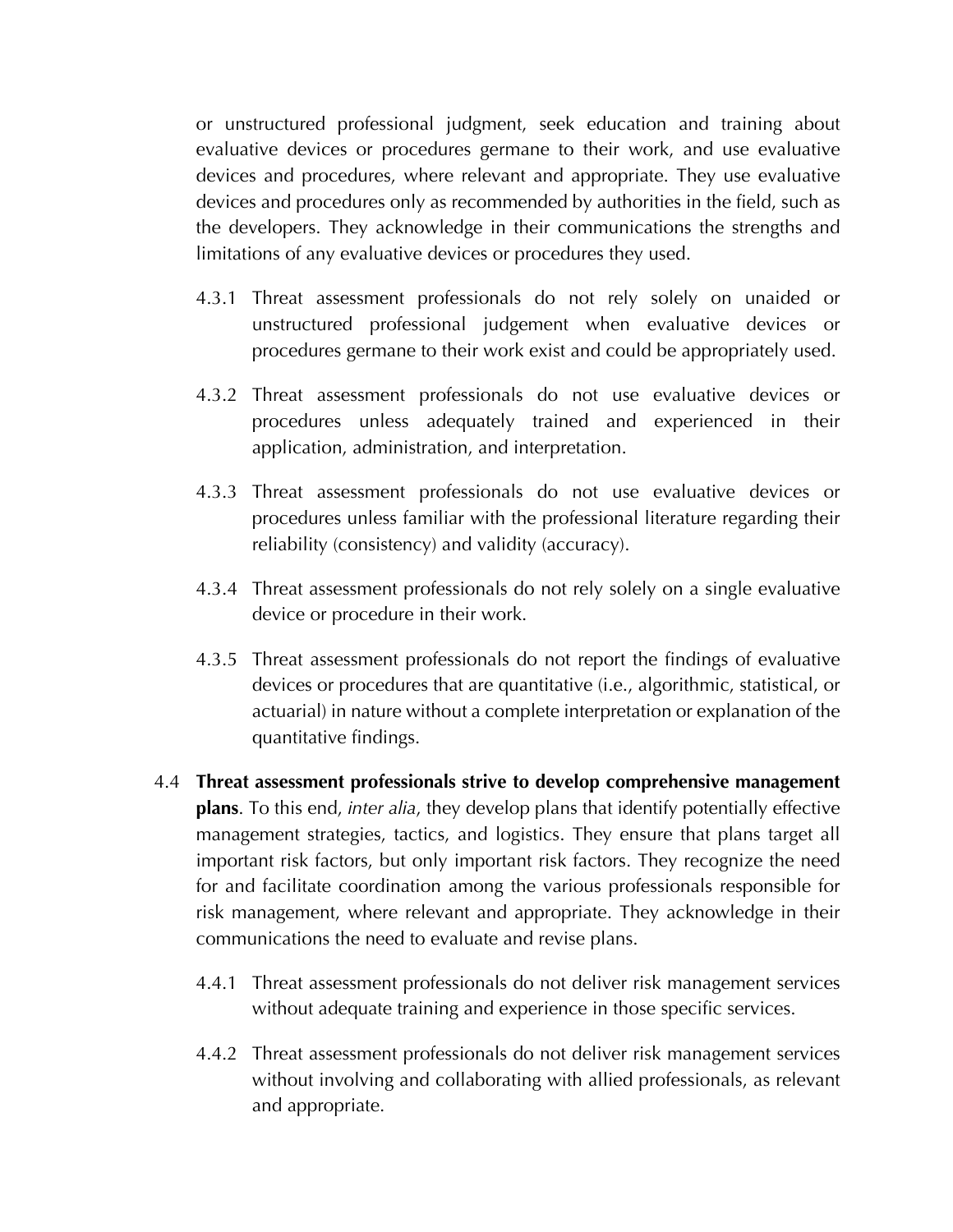or unstructured professional judgment, seek education and training about evaluative devices or procedures germane to their work, and use evaluative devices and procedures, where relevant and appropriate. They use evaluative devices and procedures only as recommended by authorities in the field, such as the developers. They acknowledge in their communications the strengths and limitations of any evaluative devices or procedures they used.

- 4.3.1 Threat assessment professionals do not rely solely on unaided or unstructured professional judgement when evaluative devices or procedures germane to their work exist and could be appropriately used.
- 4.3.2 Threat assessment professionals do not use evaluative devices or procedures unless adequately trained and experienced in their application, administration, and interpretation.
- 4.3.3 Threat assessment professionals do not use evaluative devices or procedures unless familiar with the professional literature regarding their reliability (consistency) and validity (accuracy).
- 4.3.4 Threat assessment professionals do not rely solely on a single evaluative device or procedure in their work.
- 4.3.5 Threat assessment professionals do not report the findings of evaluative devices or procedures that are quantitative (i.e., algorithmic, statistical, or actuarial) in nature without a complete interpretation or explanation of the quantitative findings.
- 4.4 **Threat assessment professionals strive to develop comprehensive management plans**. To this end, *inter alia*, they develop plans that identify potentially effective management strategies, tactics, and logistics. They ensure that plans target all important risk factors, but only important risk factors. They recognize the need for and facilitate coordination among the various professionals responsible for risk management, where relevant and appropriate. They acknowledge in their communications the need to evaluate and revise plans.
	- 4.4.1 Threat assessment professionals do not deliver risk management services without adequate training and experience in those specific services.
	- 4.4.2 Threat assessment professionals do not deliver risk management services without involving and collaborating with allied professionals, as relevant and appropriate.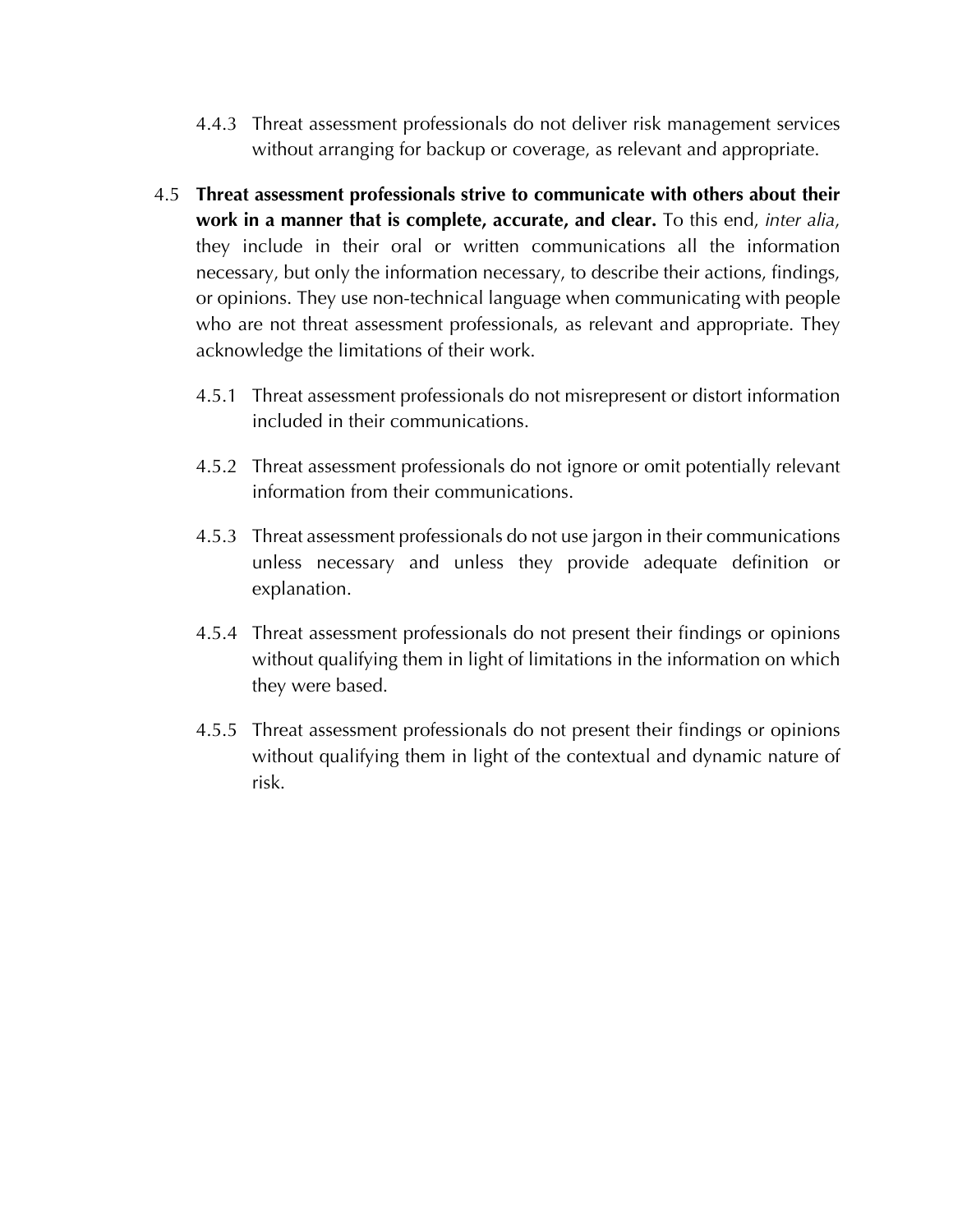- 4.4.3 Threat assessment professionals do not deliver risk management services without arranging for backup or coverage, as relevant and appropriate.
- 4.5 **Threat assessment professionals strive to communicate with others about their work in a manner that is complete, accurate, and clear.** To this end, *inter alia*, they include in their oral or written communications all the information necessary, but only the information necessary, to describe their actions, findings, or opinions. They use non-technical language when communicating with people who are not threat assessment professionals, as relevant and appropriate. They acknowledge the limitations of their work.
	- 4.5.1 Threat assessment professionals do not misrepresent or distort information included in their communications.
	- 4.5.2 Threat assessment professionals do not ignore or omit potentially relevant information from their communications.
	- 4.5.3 Threat assessment professionals do not use jargon in their communications unless necessary and unless they provide adequate definition or explanation.
	- 4.5.4 Threat assessment professionals do not present their findings or opinions without qualifying them in light of limitations in the information on which they were based.
	- 4.5.5 Threat assessment professionals do not present their findings or opinions without qualifying them in light of the contextual and dynamic nature of risk.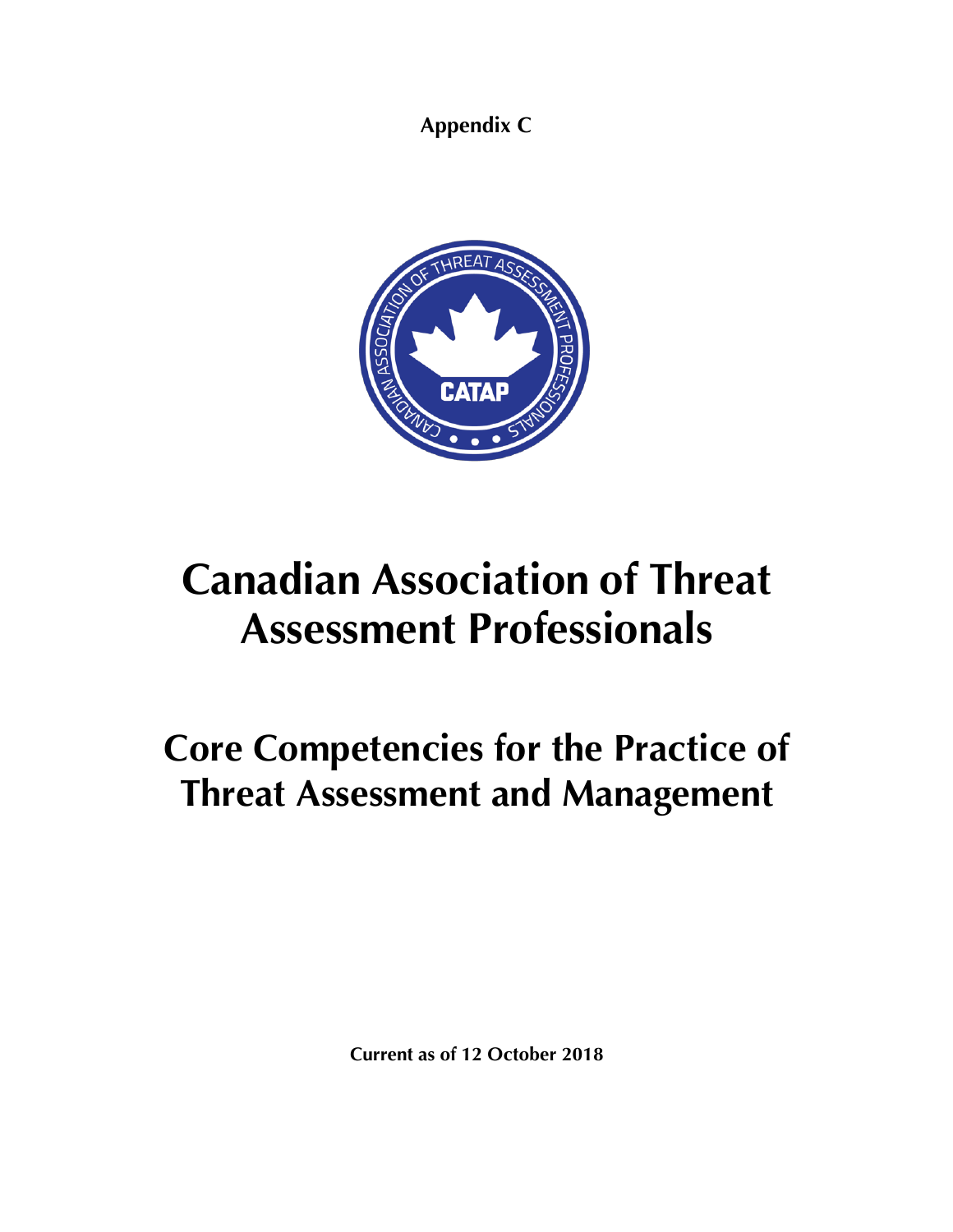**Appendix C**



# **Canadian Association of Threat Assessment Professionals**

## **Core Competencies for the Practice of Threat Assessment and Management**

**Current as of 12 October 2018**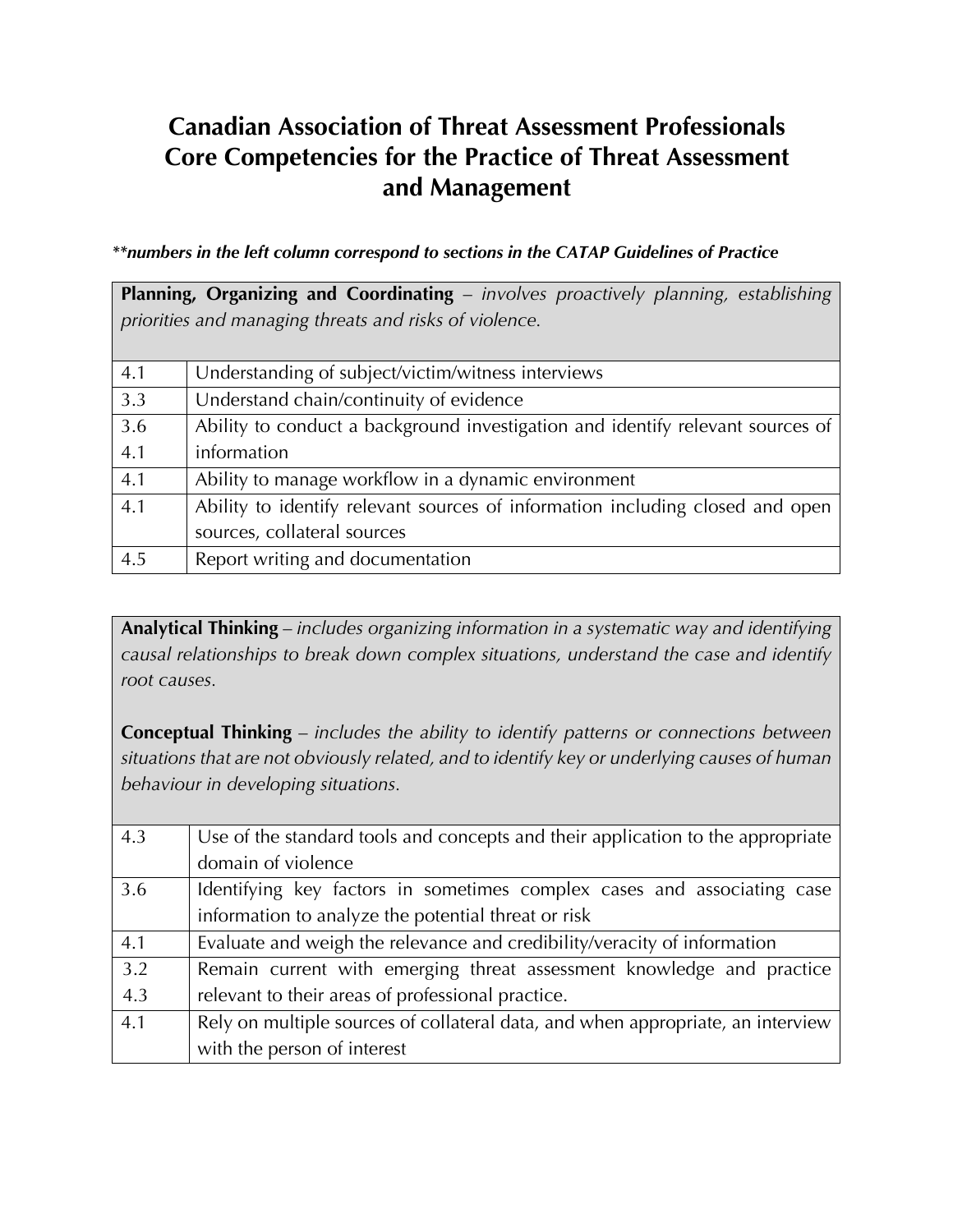## **Canadian Association of Threat Assessment Professionals Core Competencies for the Practice of Threat Assessment and Management**

*\*\*numbers in the left column correspond to sections in the CATAP Guidelines of Practice*

| Planning, Organizing and Coordinating - involves proactively planning, establishing |                                                                                |  |
|-------------------------------------------------------------------------------------|--------------------------------------------------------------------------------|--|
| priorities and managing threats and risks of violence.                              |                                                                                |  |
|                                                                                     |                                                                                |  |
| 4.1                                                                                 | Understanding of subject/victim/witness interviews                             |  |
| 3.3                                                                                 | Understand chain/continuity of evidence                                        |  |
| 3.6                                                                                 | Ability to conduct a background investigation and identify relevant sources of |  |
| 4.1                                                                                 | information                                                                    |  |
| 4.1                                                                                 | Ability to manage workflow in a dynamic environment                            |  |
| 4.1                                                                                 | Ability to identify relevant sources of information including closed and open  |  |
|                                                                                     | sources, collateral sources                                                    |  |
| 4.5                                                                                 | Report writing and documentation                                               |  |

**Analytical Thinking** – *includes organizing information in a systematic way and identifying causal relationships to break down complex situations, understand the case and identify root causes.* 

**Conceptual Thinking** – *includes the ability to identify patterns or connections between situations that are not obviously related, and to identify key or underlying causes of human behaviour in developing situations.*

| 4.3 | Use of the standard tools and concepts and their application to the appropriate |
|-----|---------------------------------------------------------------------------------|
|     | domain of violence                                                              |
| 3.6 | Identifying key factors in sometimes complex cases and associating case         |
|     | information to analyze the potential threat or risk                             |
| 4.1 | Evaluate and weigh the relevance and credibility/veracity of information        |
| 3.2 | Remain current with emerging threat assessment knowledge and practice           |
| 4.3 | relevant to their areas of professional practice.                               |
| 4.1 | Rely on multiple sources of collateral data, and when appropriate, an interview |
|     | with the person of interest                                                     |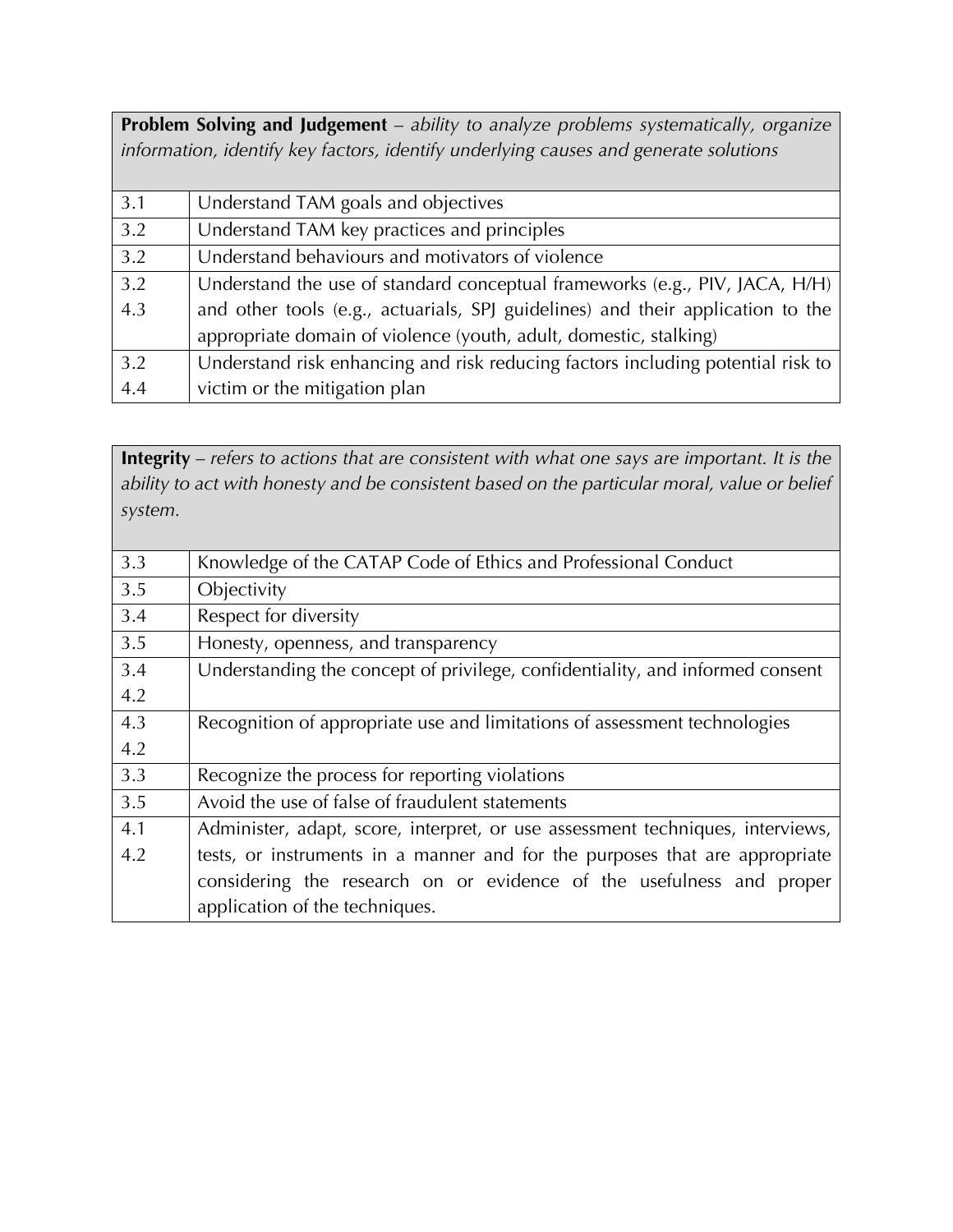**Problem Solving and Judgement** – *ability to analyze problems systematically, organize information, identify key factors, identify underlying causes and generate solutions*

| 3.1 | Understand TAM goals and objectives                                             |
|-----|---------------------------------------------------------------------------------|
| 3.2 | Understand TAM key practices and principles                                     |
| 3.2 | Understand behaviours and motivators of violence                                |
| 3.2 | Understand the use of standard conceptual frameworks (e.g., PIV, JACA, H/H)     |
| 4.3 | and other tools (e.g., actuarials, SPJ guidelines) and their application to the |
|     | appropriate domain of violence (youth, adult, domestic, stalking)               |
| 3.2 | Understand risk enhancing and risk reducing factors including potential risk to |
| 4.4 | victim or the mitigation plan                                                   |

**Integrity** – *refers to actions that are consistent with what one says are important. It is the ability to act with honesty and be consistent based on the particular moral, value or belief system.*

| 3.3 | Knowledge of the CATAP Code of Ethics and Professional Conduct                 |
|-----|--------------------------------------------------------------------------------|
| 3.5 | Objectivity                                                                    |
| 3.4 | Respect for diversity                                                          |
| 3.5 | Honesty, openness, and transparency                                            |
| 3.4 | Understanding the concept of privilege, confidentiality, and informed consent  |
| 4.2 |                                                                                |
| 4.3 | Recognition of appropriate use and limitations of assessment technologies      |
| 4.2 |                                                                                |
| 3.3 | Recognize the process for reporting violations                                 |
| 3.5 | Avoid the use of false of fraudulent statements                                |
| 4.1 | Administer, adapt, score, interpret, or use assessment techniques, interviews, |
| 4.2 | tests, or instruments in a manner and for the purposes that are appropriate    |
|     | considering the research on or evidence of the usefulness and proper           |
|     | application of the techniques.                                                 |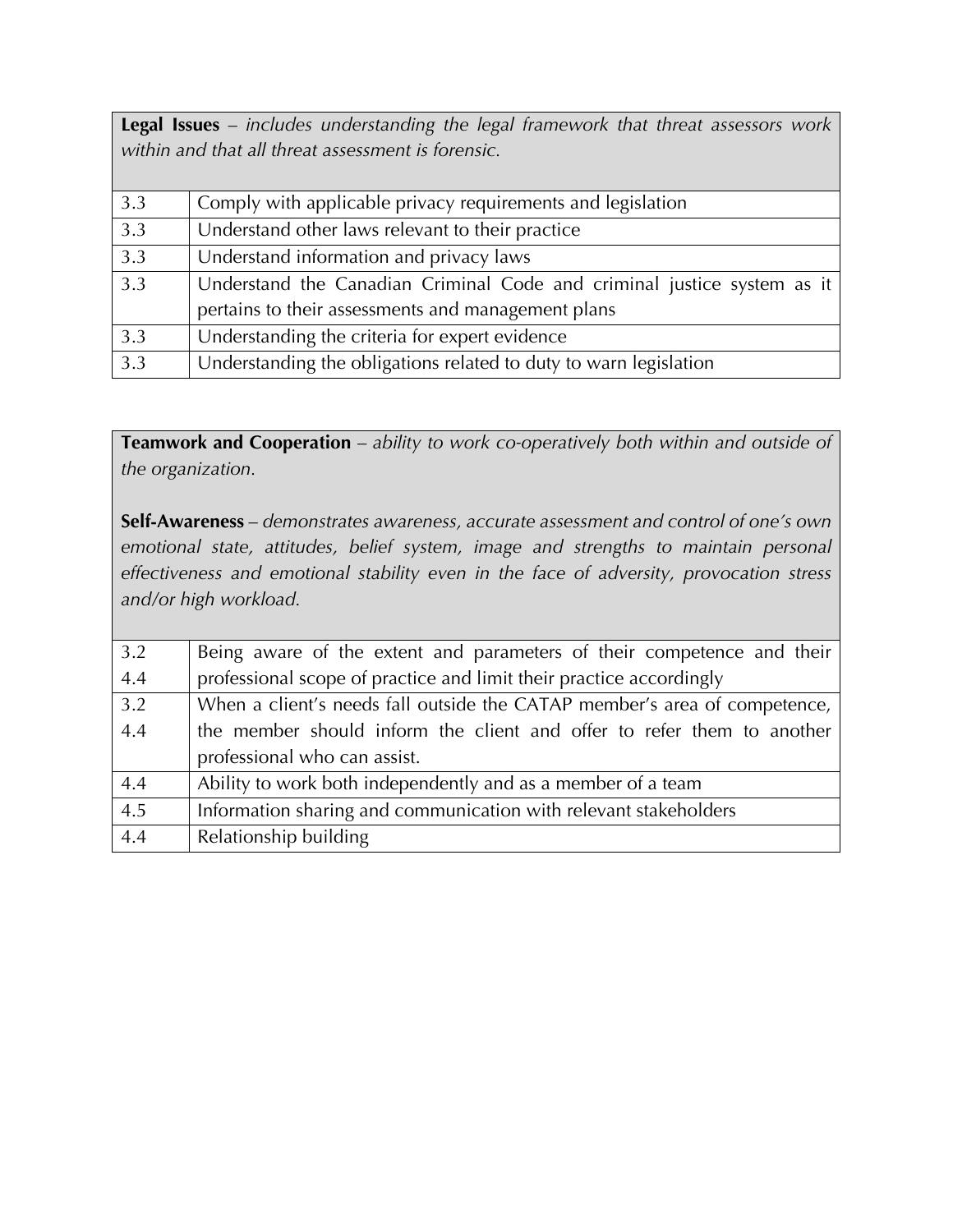**Legal Issues** – *includes understanding the legal framework that threat assessors work within and that all threat assessment is forensic.*

| 3.3 | Comply with applicable privacy requirements and legislation             |
|-----|-------------------------------------------------------------------------|
| 3.3 | Understand other laws relevant to their practice                        |
| 3.3 | Understand information and privacy laws                                 |
| 3.3 | Understand the Canadian Criminal Code and criminal justice system as it |
|     | pertains to their assessments and management plans                      |
| 3.3 | Understanding the criteria for expert evidence                          |
| 3.3 | Understanding the obligations related to duty to warn legislation       |

**Teamwork and Cooperation** – *ability to work co-operatively both within and outside of the organization.*

**Self-Awareness** – *demonstrates awareness, accurate assessment and control of one's own emotional state, attitudes, belief system, image and strengths to maintain personal effectiveness and emotional stability even in the face of adversity, provocation stress and/or high workload.*

| 3.2 | Being aware of the extent and parameters of their competence and their    |
|-----|---------------------------------------------------------------------------|
| 4.4 | professional scope of practice and limit their practice accordingly       |
| 3.2 | When a client's needs fall outside the CATAP member's area of competence, |
| 4.4 | the member should inform the client and offer to refer them to another    |
|     | professional who can assist.                                              |
| 4.4 | Ability to work both independently and as a member of a team              |
| 4.5 | Information sharing and communication with relevant stakeholders          |
| 4.4 | Relationship building                                                     |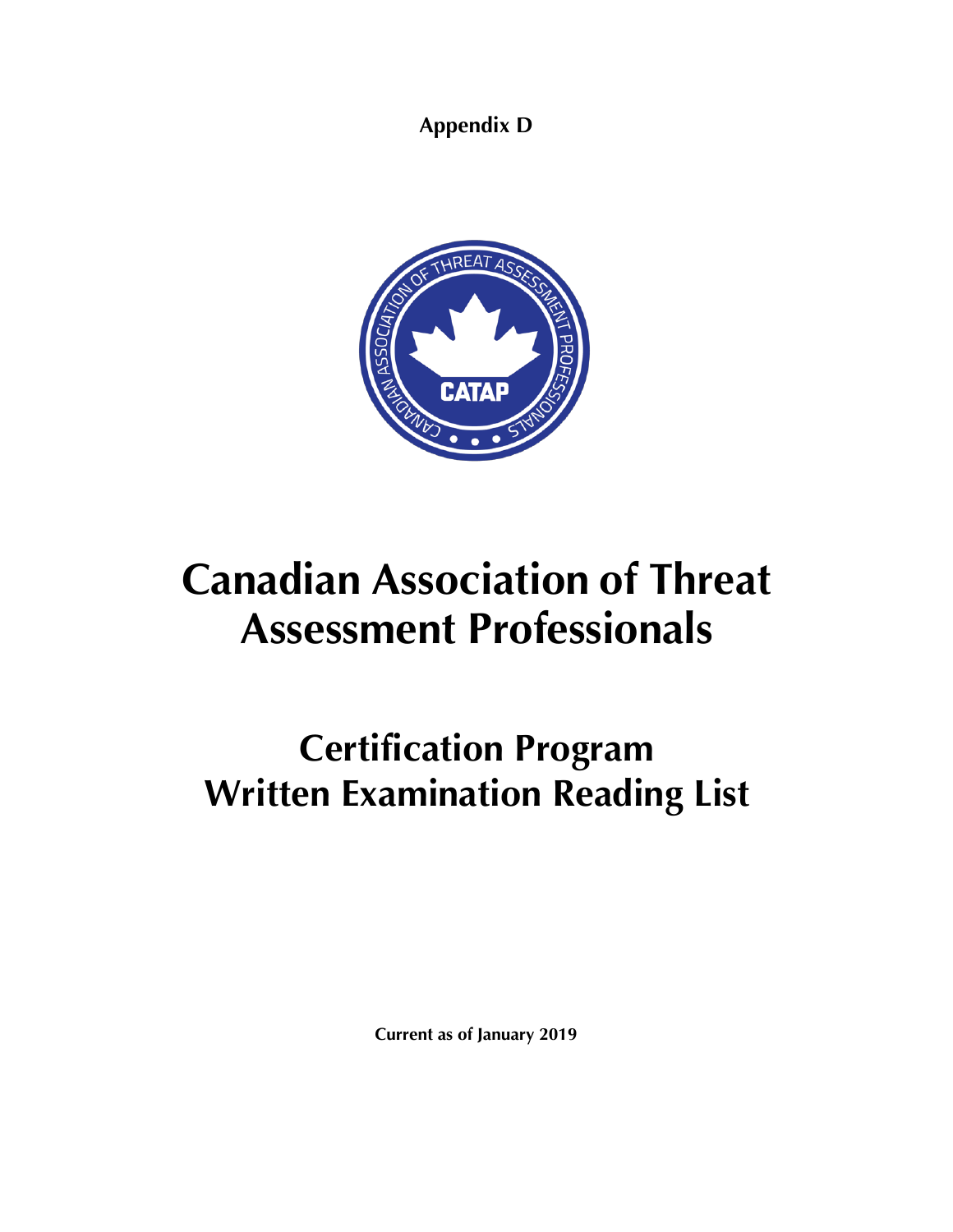**Appendix D**



# **Canadian Association of Threat Assessment Professionals**

## **Certification Program Written Examination Reading List**

**Current as of January 2019**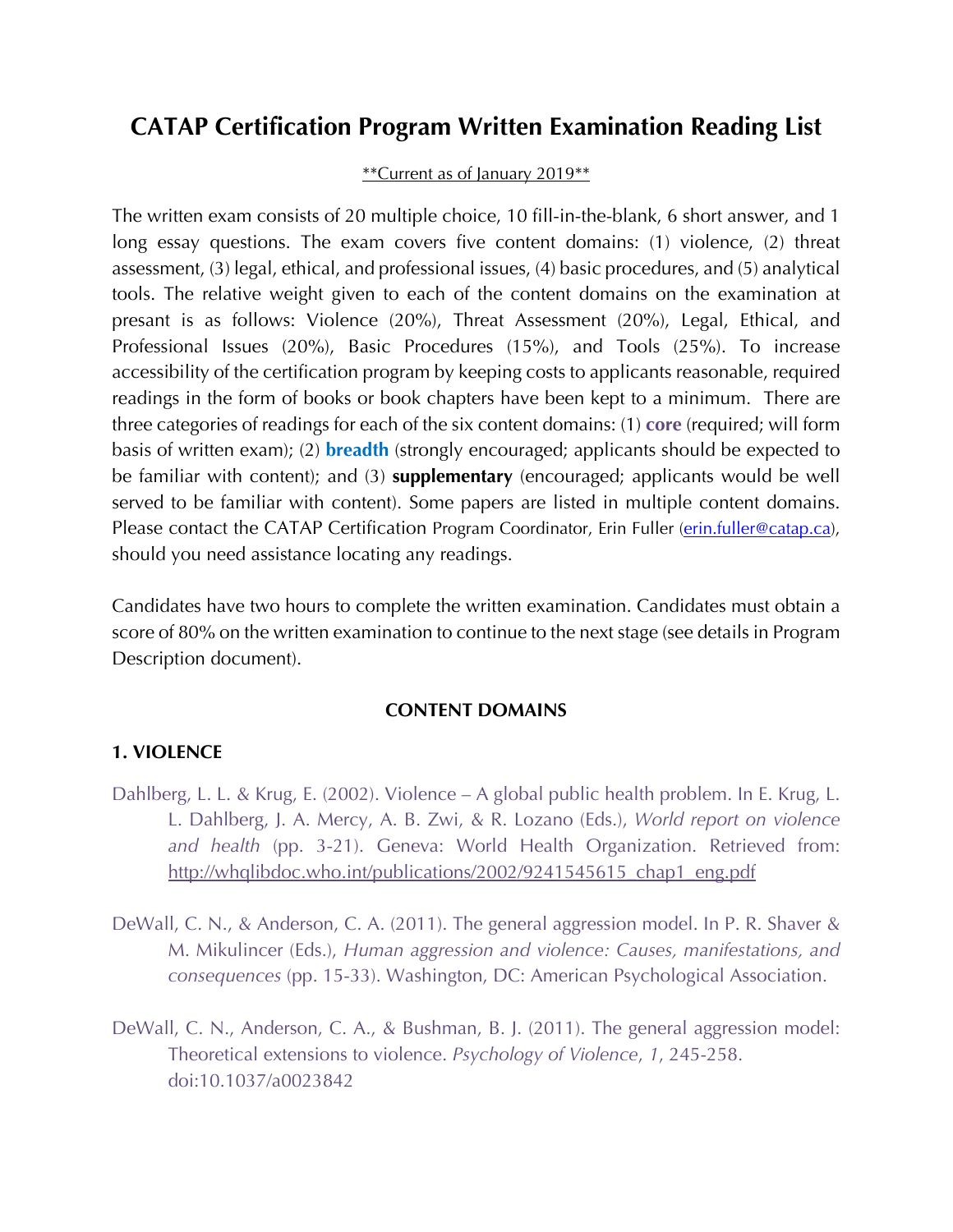### **CATAP Certification Program Written Examination Reading List**

#### \*\*Current as of January 2019\*\*

The written exam consists of 20 multiple choice, 10 fill-in-the-blank, 6 short answer, and 1 long essay questions. The exam covers five content domains: (1) violence, (2) threat assessment, (3) legal, ethical, and professional issues, (4) basic procedures, and (5) analytical tools. The relative weight given to each of the content domains on the examination at presant is as follows: Violence (20%), Threat Assessment (20%), Legal, Ethical, and Professional Issues (20%), Basic Procedures (15%), and Tools (25%). To increase accessibility of the certification program by keeping costs to applicants reasonable, required readings in the form of books or book chapters have been kept to a minimum. There are three categories of readings for each of the six content domains: (1) **core** (required; will form basis of written exam); (2) **breadth** (strongly encouraged; applicants should be expected to be familiar with content); and (3) **supplementary** (encouraged; applicants would be well served to be familiar with content). Some papers are listed in multiple content domains. Please contact the CATAP Certification Program Coordinator, Erin Fuller (erin.fuller@catap.ca), should you need assistance locating any readings.

Candidates have two hours to complete the written examination. Candidates must obtain a score of 80% on the written examination to continue to the next stage (see details in Program Description document).

#### **CONTENT DOMAINS**

#### **1. VIOLENCE**

- Dahlberg, L. L. & Krug, E. (2002). Violence A global public health problem. In E. Krug, L. L. Dahlberg, J. A. Mercy, A. B. Zwi, & R. Lozano (Eds.), *World report on violence and health* (pp. 3-21). Geneva: World Health Organization. Retrieved from: http://whqlibdoc.who.int/publications/2002/9241545615\_chap1\_eng.pdf
- DeWall, C. N., & Anderson, C. A. (2011). The general aggression model. In P. R. Shaver & M. Mikulincer (Eds.), *Human aggression and violence: Causes, manifestations, and consequences* (pp. 15-33). Washington, DC: American Psychological Association.
- DeWall, C. N., Anderson, C. A., & Bushman, B. J. (2011). The general aggression model: Theoretical extensions to violence. *Psychology of Violence*, *1*, 245-258. doi:10.1037/a0023842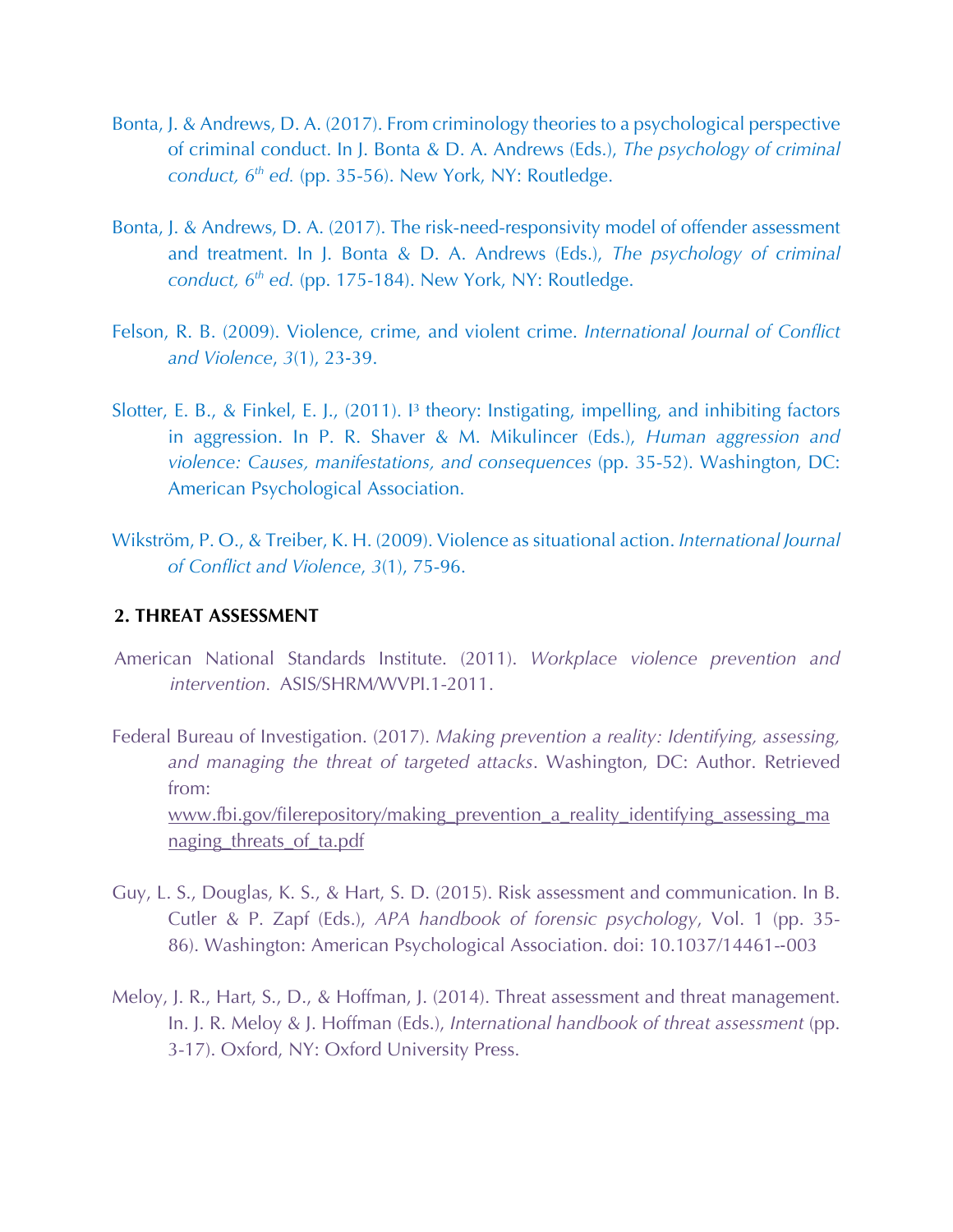- Bonta, J. & Andrews, D. A. (2017). From criminology theories to a psychological perspective of criminal conduct. In J. Bonta & D. A. Andrews (Eds.), *The psychology of criminal conduct, 6th ed.* (pp. 35-56). New York, NY: Routledge.
- Bonta, J. & Andrews, D. A. (2017). The risk-need-responsivity model of offender assessment and treatment. In J. Bonta & D. A. Andrews (Eds.), *The psychology of criminal conduct, 6th ed.* (pp. 175-184). New York, NY: Routledge.
- Felson, R. B. (2009). Violence, crime, and violent crime. *International Journal of Conflict and Violence*, *3*(1), 23-39.
- Slotter, E. B., & Finkel, E. J., (2011). I<sup>3</sup> theory: Instigating, impelling, and inhibiting factors in aggression. In P. R. Shaver & M. Mikulincer (Eds.), *Human aggression and violence: Causes, manifestations, and consequences* (pp. 35-52). Washington, DC: American Psychological Association.
- Wikström, P. O., & Treiber, K. H. (2009). Violence as situational action. *International Journal of Conflict and Violence*, *3*(1), 75-96.

#### **2. THREAT ASSESSMENT**

- American National Standards Institute. (2011). *Workplace violence prevention and intervention.* ASIS/SHRM/WVPI.1-2011.
- Federal Bureau of Investigation. (2017). *Making prevention a reality: Identifying, assessing, and managing the threat of targeted attacks*. Washington, DC: Author. Retrieved from: www.fbi.gov/filerepository/making\_prevention\_a\_reality\_identifying\_assessing\_ma naging\_threats\_of\_ta.pdf
- Guy, L. S., Douglas, K. S., & Hart, S. D. (2015). Risk assessment and communication. In B. Cutler & P. Zapf (Eds.), *APA handbook of forensic psychology*, Vol. 1 (pp. 35- 86). Washington: American Psychological Association. doi: 10.1037/14461--003
- Meloy, J. R., Hart, S., D., & Hoffman, J. (2014). Threat assessment and threat management. In. J. R. Meloy & J. Hoffman (Eds.), *International handbook of threat assessment* (pp. 3-17). Oxford, NY: Oxford University Press.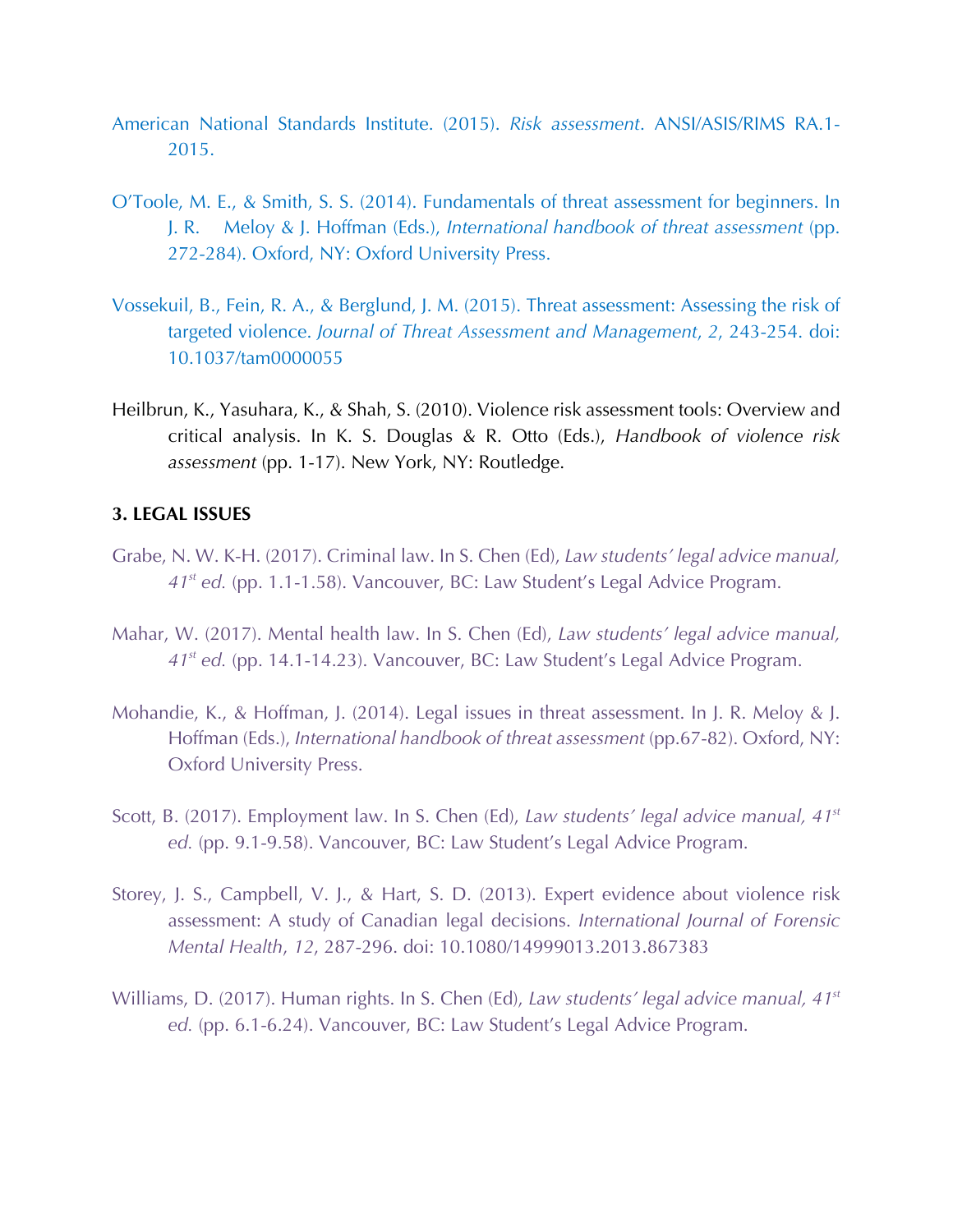- American National Standards Institute. (2015). *Risk assessment*. ANSI/ASIS/RIMS RA.1- 2015.
- O'Toole, M. E., & Smith, S. S. (2014). Fundamentals of threat assessment for beginners. In J. R. Meloy & J. Hoffman (Eds.), *International handbook of threat assessment* (pp. 272-284). Oxford, NY: Oxford University Press.
- Vossekuil, B., Fein, R. A., & Berglund, J. M. (2015). Threat assessment: Assessing the risk of targeted violence. *Journal of Threat Assessment and Management*, *2*, 243-254. doi: 10.1037/tam0000055
- Heilbrun, K., Yasuhara, K., & Shah, S. (2010). Violence risk assessment tools: Overview and critical analysis. In K. S. Douglas & R. Otto (Eds.), *Handbook of violence risk assessment* (pp. 1-17). New York, NY: Routledge.

### **3. LEGAL ISSUES**

- Grabe, N. W. K-H. (2017). Criminal law. In S. Chen (Ed), *Law students' legal advice manual, 41st ed.* (pp. 1.1-1.58). Vancouver, BC: Law Student's Legal Advice Program.
- Mahar, W. (2017). Mental health law. In S. Chen (Ed), *Law students' legal advice manual, 41st ed.* (pp. 14.1-14.23). Vancouver, BC: Law Student's Legal Advice Program.
- Mohandie, K., & Hoffman, J. (2014). Legal issues in threat assessment. In J. R. Meloy & J. Hoffman (Eds.), *International handbook of threat assessment* (pp.67-82). Oxford, NY: Oxford University Press.
- Scott, B. (2017). Employment law. In S. Chen (Ed), *Law students' legal advice manual, 41st ed.* (pp. 9.1-9.58). Vancouver, BC: Law Student's Legal Advice Program.
- Storey, J. S., Campbell, V. J., & Hart, S. D. (2013). Expert evidence about violence risk assessment: A study of Canadian legal decisions. *International Journal of Forensic Mental Health*, *12*, 287-296. doi: 10.1080/14999013.2013.867383
- Williams, D. (2017). Human rights. In S. Chen (Ed), *Law students' legal advice manual, 41st ed.* (pp. 6.1-6.24). Vancouver, BC: Law Student's Legal Advice Program.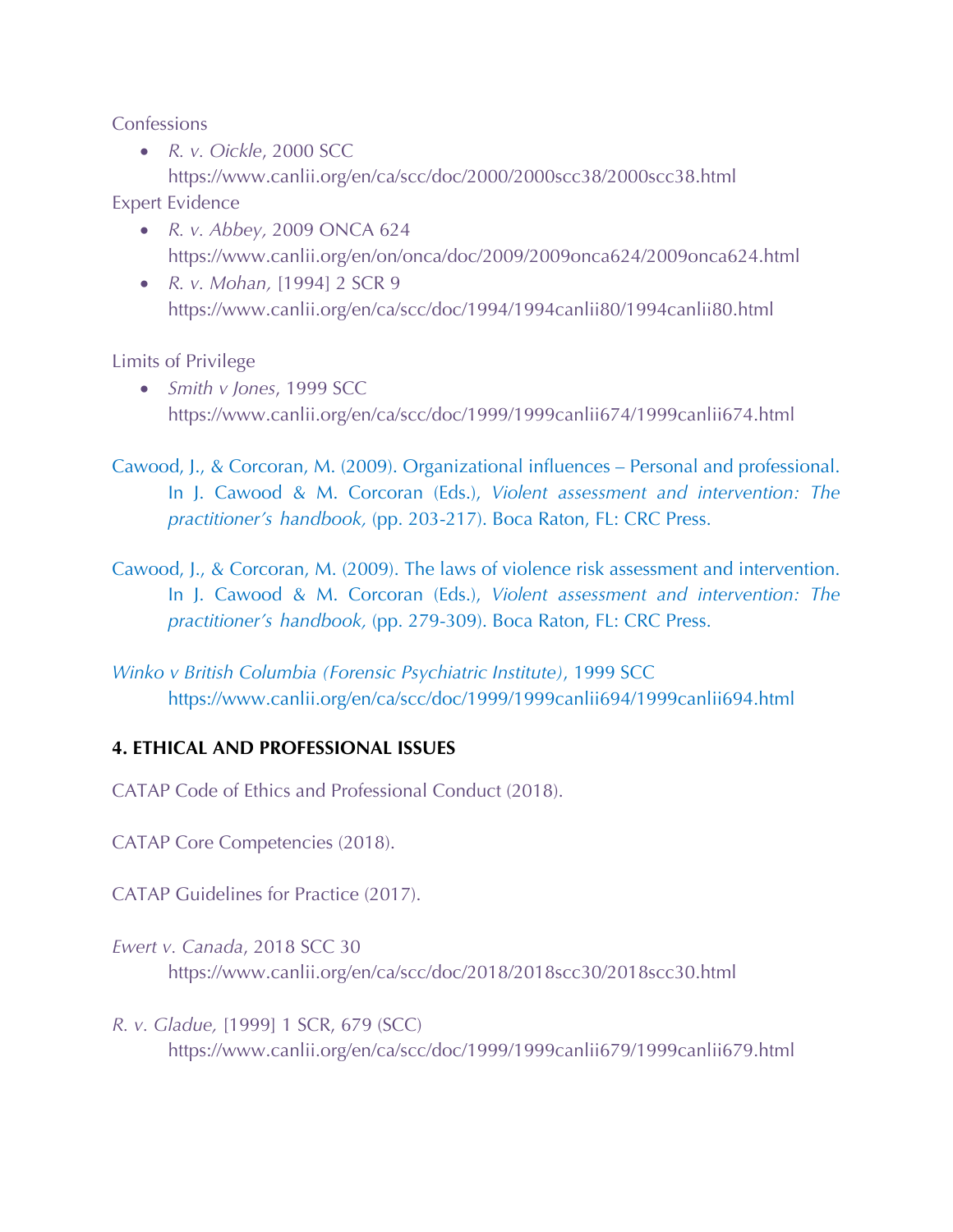Confessions

• *R. v. Oickle*, 2000 SCC

https://www.canlii.org/en/ca/scc/doc/2000/2000scc38/2000scc38.html Expert Evidence

- *R. v. Abbey,* 2009 ONCA 624 https://www.canlii.org/en/on/onca/doc/2009/2009onca624/2009onca624.html
- *R. v. Mohan,* [1994] 2 SCR 9 https://www.canlii.org/en/ca/scc/doc/1994/1994canlii80/1994canlii80.html

Limits of Privilege

• *Smith v Jones*, 1999 SCC https://www.canlii.org/en/ca/scc/doc/1999/1999canlii674/1999canlii674.html

Cawood, J., & Corcoran, M. (2009). Organizational influences – Personal and professional. In J. Cawood & M. Corcoran (Eds.), *Violent assessment and intervention: The practitioner's handbook,* (pp. 203-217). Boca Raton, FL: CRC Press.

Cawood, J., & Corcoran, M. (2009). The laws of violence risk assessment and intervention. In J. Cawood & M. Corcoran (Eds.), *Violent assessment and intervention: The practitioner's handbook,* (pp. 279-309). Boca Raton, FL: CRC Press.

*Winko v British Columbia (Forensic Psychiatric Institute)*, 1999 SCC https://www.canlii.org/en/ca/scc/doc/1999/1999canlii694/1999canlii694.html

### **4. ETHICAL AND PROFESSIONAL ISSUES**

CATAP Code of Ethics and Professional Conduct (2018).

CATAP Core Competencies (2018).

CATAP Guidelines for Practice (2017).

- *Ewert v. Canada*, 2018 SCC 30 https://www.canlii.org/en/ca/scc/doc/2018/2018scc30/2018scc30.html
- *R. v. Gladue,* [1999] 1 SCR, 679 (SCC) https://www.canlii.org/en/ca/scc/doc/1999/1999canlii679/1999canlii679.html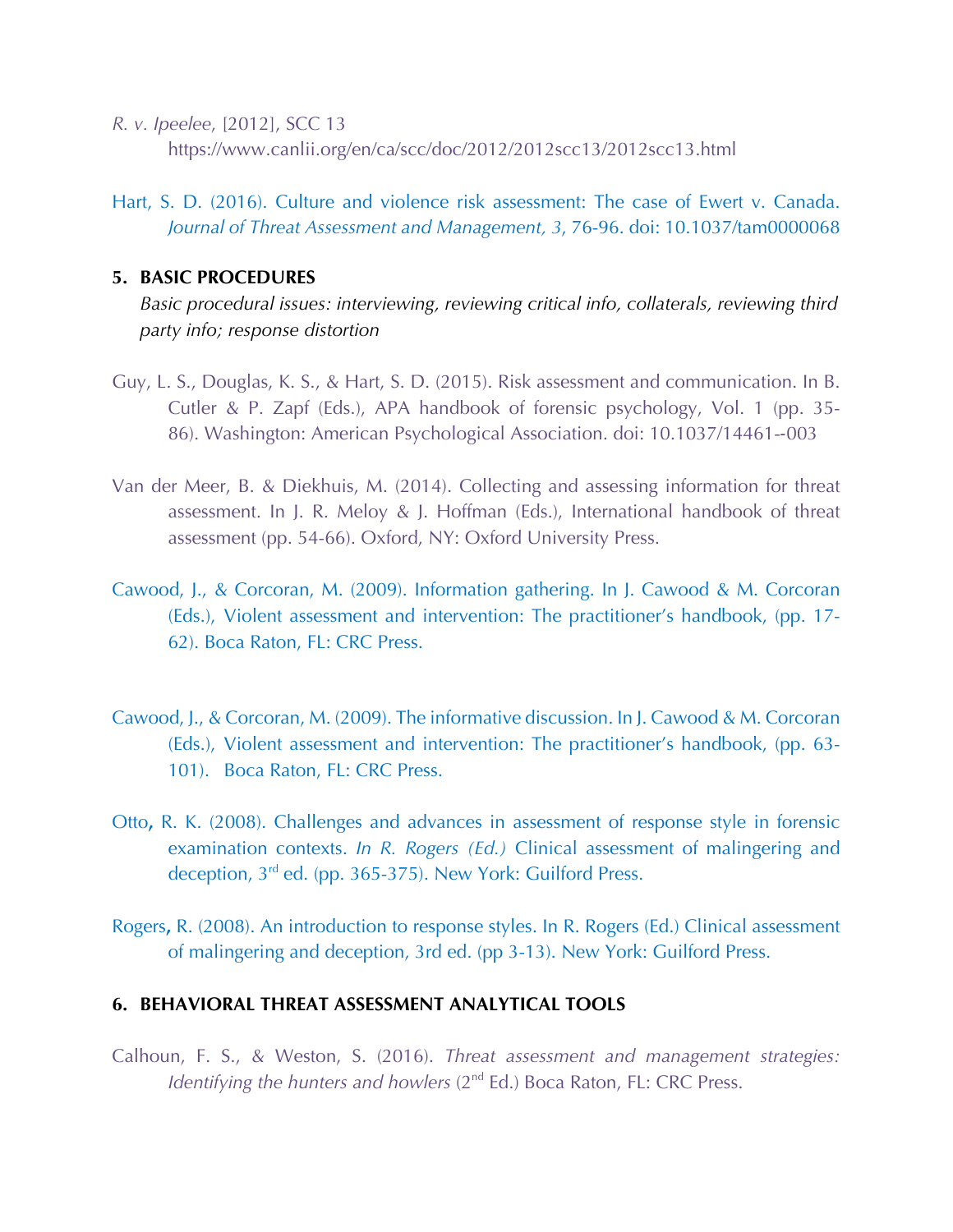- *R. v. Ipeelee*, [2012], SCC 13 https://www.canlii.org/en/ca/scc/doc/2012/2012scc13/2012scc13.html
- Hart, S. D. (2016). Culture and violence risk assessment: The case of Ewert v. Canada. *Journal of Threat Assessment and Management, 3*, 76-96. doi: 10.1037/tam0000068

#### **5. BASIC PROCEDURES**

- *Basic procedural issues: interviewing, reviewing critical info, collaterals, reviewing third party info; response distortion*
- Guy, L. S., Douglas, K. S., & Hart, S. D. (2015). Risk assessment and communication. In B. Cutler & P. Zapf (Eds.), APA handbook of forensic psychology, Vol. 1 (pp. 35- 86). Washington: American Psychological Association. doi: 10.1037/14461--003
- Van der Meer, B. & Diekhuis, M. (2014). Collecting and assessing information for threat assessment. In J. R. Meloy & J. Hoffman (Eds.), International handbook of threat assessment (pp. 54-66). Oxford, NY: Oxford University Press.
- Cawood, J., & Corcoran, M. (2009). Information gathering. In J. Cawood & M. Corcoran (Eds.), Violent assessment and intervention: The practitioner's handbook, (pp. 17- 62). Boca Raton, FL: CRC Press.
- Cawood, J., & Corcoran, M. (2009). The informative discussion. In J. Cawood & M. Corcoran (Eds.), Violent assessment and intervention: The practitioner's handbook, (pp. 63- 101). Boca Raton, FL: CRC Press.
- Otto**,** R. K. (2008). Challenges and advances in assessment of response style in forensic examination contexts. *In R. Rogers (Ed.)* Clinical assessment of malingering and deception, 3<sup>rd</sup> ed. (pp. 365-375). New York: Guilford Press.
- Rogers**,** R. (2008). An introduction to response styles. In R. Rogers (Ed.) Clinical assessment of malingering and deception, 3rd ed. (pp 3-13). New York: Guilford Press.

### **6. BEHAVIORAL THREAT ASSESSMENT ANALYTICAL TOOLS**

Calhoun, F. S., & Weston, S. (2016). *Threat assessment and management strategies: Identifying the hunters and howlers* (2<sup>nd</sup> Ed.) Boca Raton, FL: CRC Press.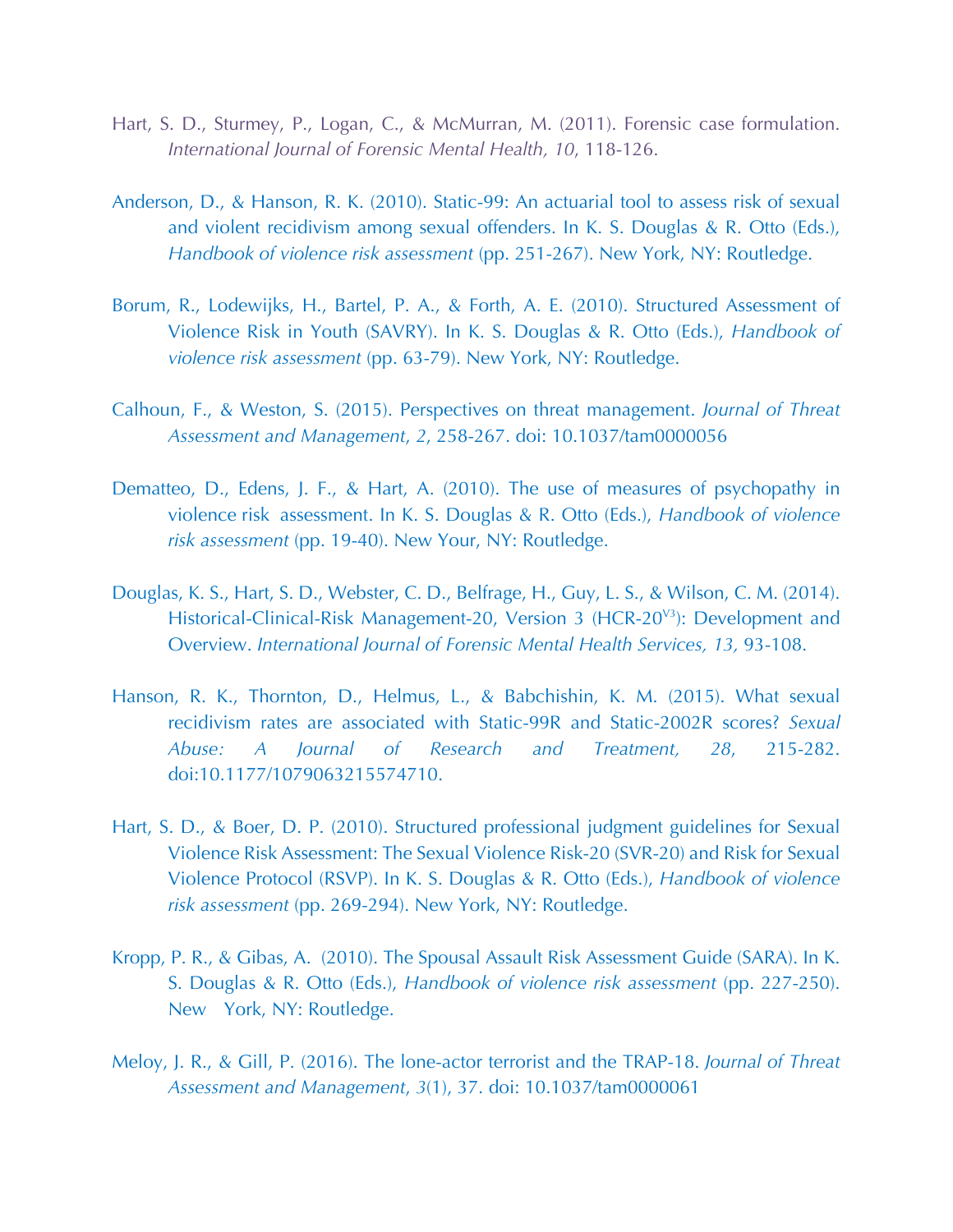- Hart, S. D., Sturmey, P., Logan, C., & McMurran, M. (2011). Forensic case formulation. *International Journal of Forensic Mental Health, 10*, 118-126.
- Anderson, D., & Hanson, R. K. (2010). Static-99: An actuarial tool to assess risk of sexual and violent recidivism among sexual offenders. In K. S. Douglas & R. Otto (Eds.), *Handbook of violence risk assessment* (pp. 251-267). New York, NY: Routledge.
- Borum, R., Lodewijks, H., Bartel, P. A., & Forth, A. E. (2010). Structured Assessment of Violence Risk in Youth (SAVRY). In K. S. Douglas & R. Otto (Eds.), *Handbook of violence risk assessment* (pp. 63-79). New York, NY: Routledge.
- Calhoun, F., & Weston, S. (2015). Perspectives on threat management. *Journal of Threat Assessment and Management*, *2*, 258-267. doi: 10.1037/tam0000056
- Dematteo, D., Edens, J. F., & Hart, A. (2010). The use of measures of psychopathy in violence risk assessment. In K. S. Douglas & R. Otto (Eds.), *Handbook of violence risk assessment* (pp. 19-40). New Your, NY: Routledge.
- Douglas, K. S., Hart, S. D., Webster, C. D., Belfrage, H., Guy, L. S., & Wilson, C. M. (2014). Historical-Clinical-Risk Management-20, Version 3 (HCR-20<sup>V3</sup>): Development and Overview. *International Journal of Forensic Mental Health Services, 13,* 93-108.
- Hanson, R. K., Thornton, D., Helmus, L., & Babchishin, K. M. (2015). What sexual recidivism rates are associated with Static-99R and Static-2002R scores? *Sexual Abuse: A Journal of Research and Treatment, 28*, 215-282. doi:10.1177/1079063215574710.
- Hart, S. D., & Boer, D. P. (2010). Structured professional judgment guidelines for Sexual Violence Risk Assessment: The Sexual Violence Risk-20 (SVR-20) and Risk for Sexual Violence Protocol (RSVP). In K. S. Douglas & R. Otto (Eds.), *Handbook of violence risk assessment* (pp. 269-294). New York, NY: Routledge.
- Kropp, P. R., & Gibas, A. (2010). The Spousal Assault Risk Assessment Guide (SARA). In K. S. Douglas & R. Otto (Eds.), *Handbook of violence risk assessment* (pp. 227-250). New York, NY: Routledge.
- Meloy, J. R., & Gill, P. (2016). The lone-actor terrorist and the TRAP-18. *Journal of Threat Assessment and Management*, *3*(1), 37. doi: 10.1037/tam0000061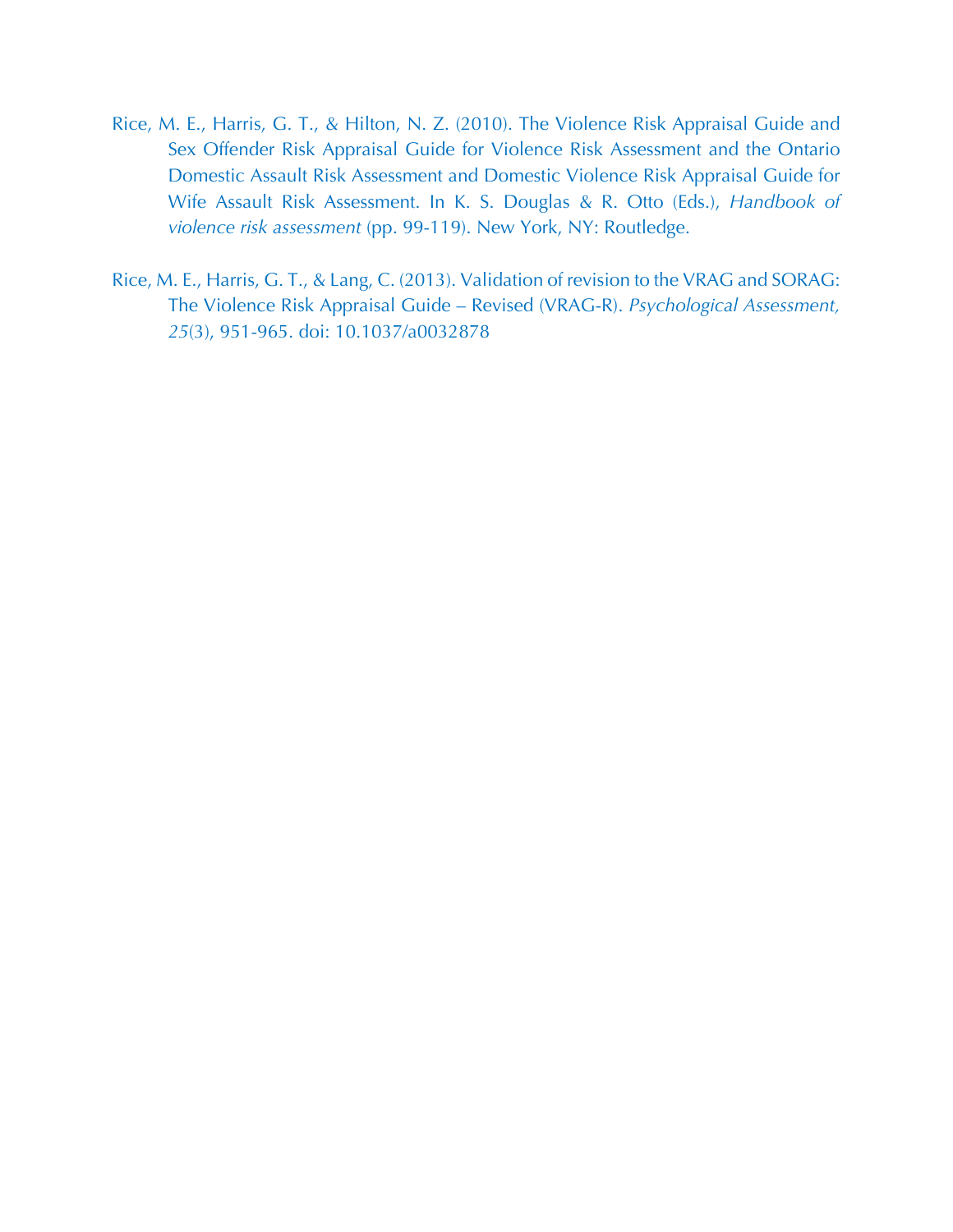- Rice, M. E., Harris, G. T., & Hilton, N. Z. (2010). The Violence Risk Appraisal Guide and Sex Offender Risk Appraisal Guide for Violence Risk Assessment and the Ontario Domestic Assault Risk Assessment and Domestic Violence Risk Appraisal Guide for Wife Assault Risk Assessment. In K. S. Douglas & R. Otto (Eds.), *Handbook of violence risk assessment* (pp. 99-119). New York, NY: Routledge.
- Rice, M. E., Harris, G. T., & Lang, C. (2013). Validation of revision to the VRAG and SORAG: The Violence Risk Appraisal Guide – Revised (VRAG-R). *Psychological Assessment, 25*(3), 951-965. doi: 10.1037/a0032878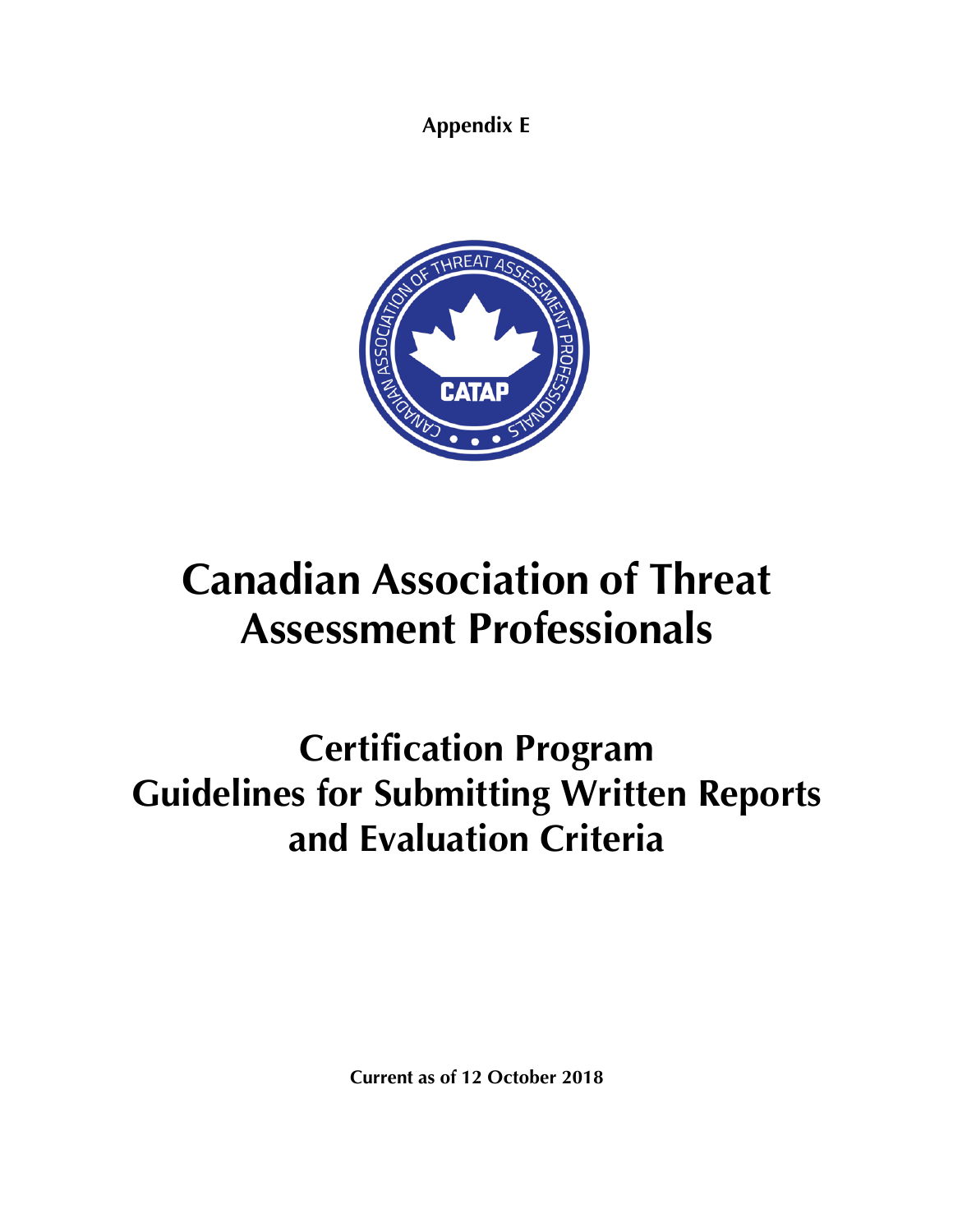**Appendix E**



# **Canadian Association of Threat Assessment Professionals**

## **Certification Program Guidelines for Submitting Written Reports and Evaluation Criteria**

**Current as of 12 October 2018**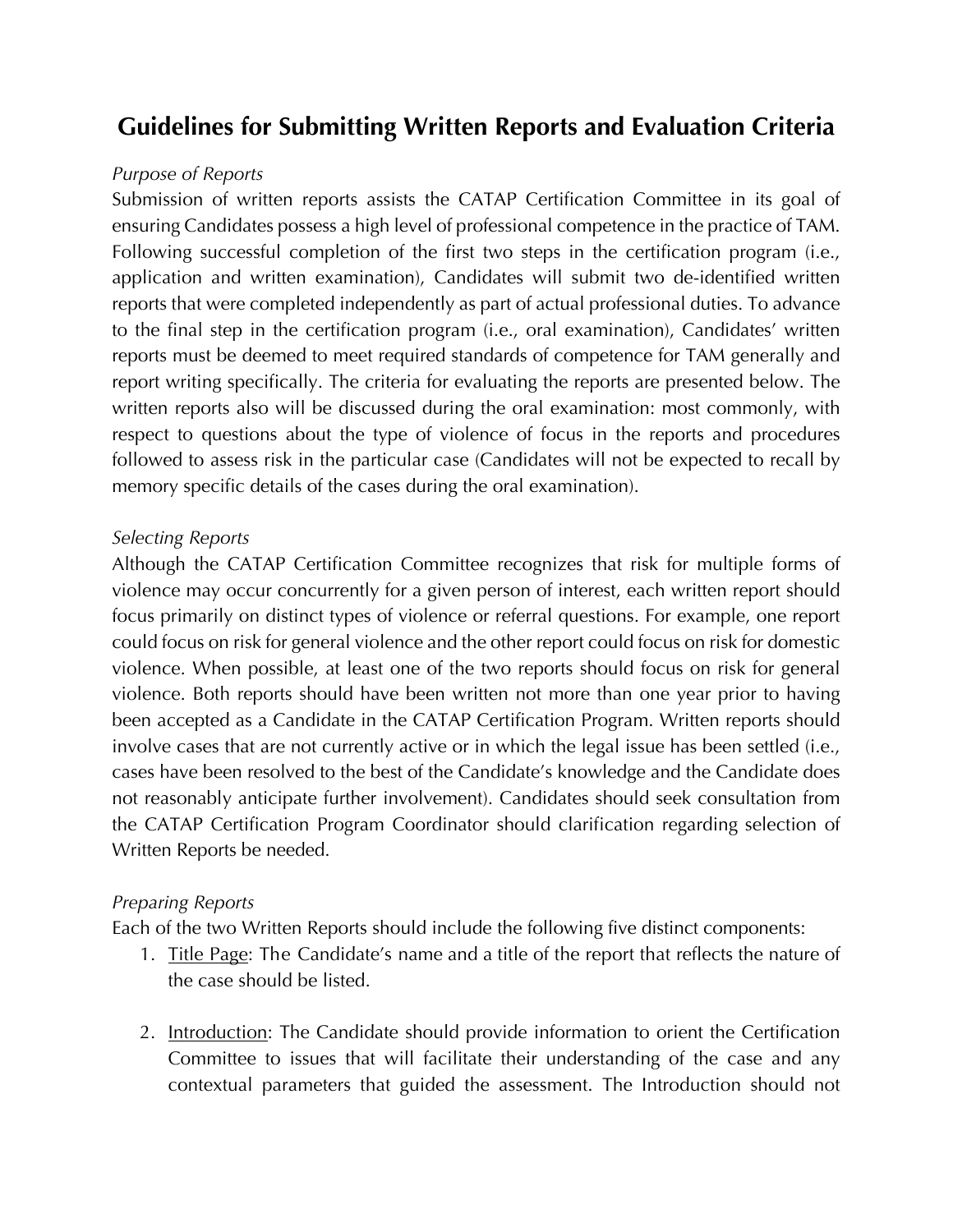### **Guidelines for Submitting Written Reports and Evaluation Criteria**

### *Purpose of Reports*

Submission of written reports assists the CATAP Certification Committee in its goal of ensuring Candidates possess a high level of professional competence in the practice of TAM. Following successful completion of the first two steps in the certification program (i.e., application and written examination), Candidates will submit two de-identified written reports that were completed independently as part of actual professional duties. To advance to the final step in the certification program (i.e., oral examination), Candidates' written reports must be deemed to meet required standards of competence for TAM generally and report writing specifically. The criteria for evaluating the reports are presented below. The written reports also will be discussed during the oral examination: most commonly, with respect to questions about the type of violence of focus in the reports and procedures followed to assess risk in the particular case (Candidates will not be expected to recall by memory specific details of the cases during the oral examination).

### *Selecting Reports*

Although the CATAP Certification Committee recognizes that risk for multiple forms of violence may occur concurrently for a given person of interest, each written report should focus primarily on distinct types of violence or referral questions. For example, one report could focus on risk for general violence and the other report could focus on risk for domestic violence. When possible, at least one of the two reports should focus on risk for general violence. Both reports should have been written not more than one year prior to having been accepted as a Candidate in the CATAP Certification Program. Written reports should involve cases that are not currently active or in which the legal issue has been settled (i.e., cases have been resolved to the best of the Candidate's knowledge and the Candidate does not reasonably anticipate further involvement). Candidates should seek consultation from the CATAP Certification Program Coordinator should clarification regarding selection of Written Reports be needed.

### *Preparing Reports*

Each of the two Written Reports should include the following five distinct components:

- 1. Title Page: The Candidate's name and a title of the report that reflects the nature of the case should be listed.
- 2. Introduction: The Candidate should provide information to orient the Certification Committee to issues that will facilitate their understanding of the case and any contextual parameters that guided the assessment. The Introduction should not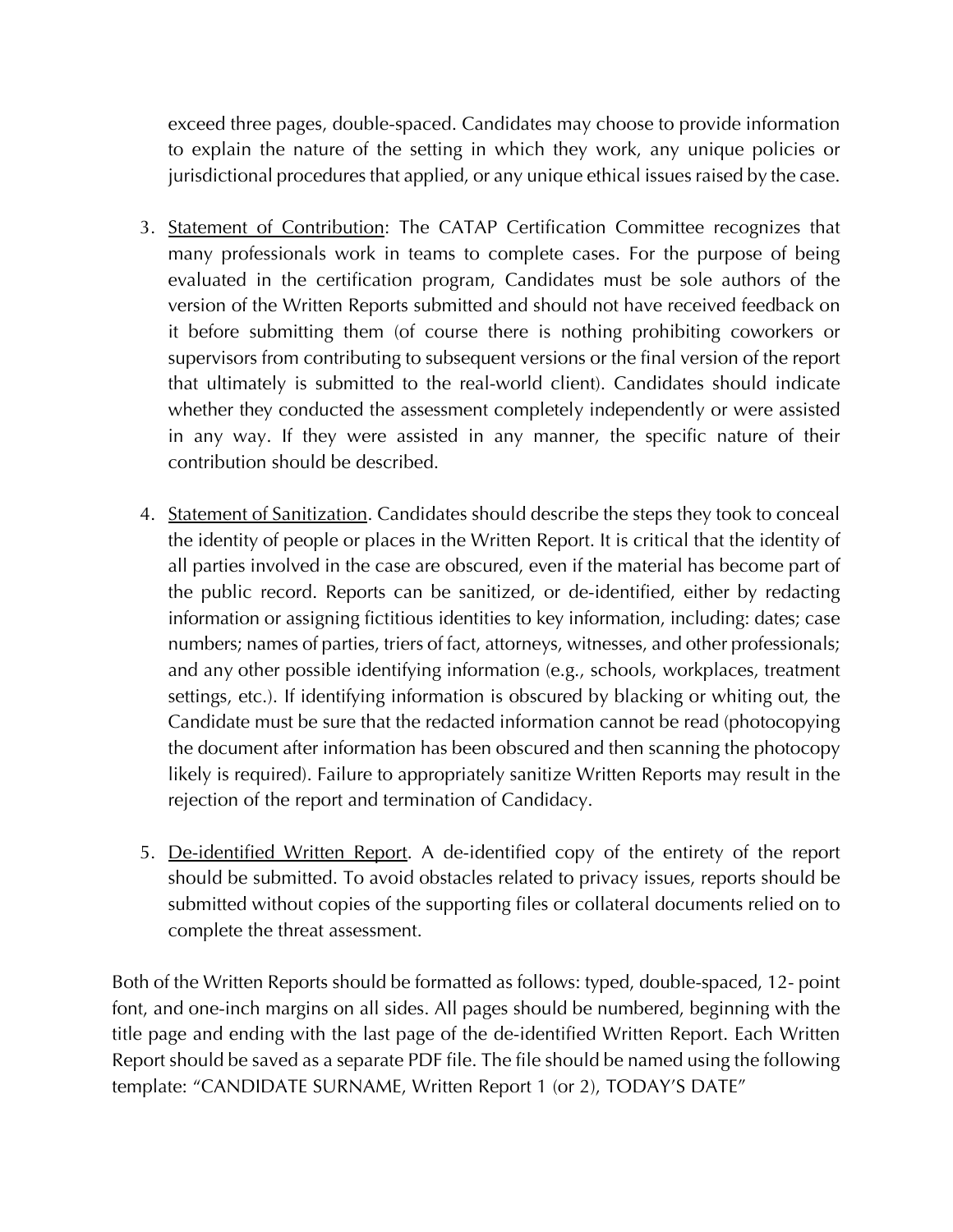exceed three pages, double-spaced. Candidates may choose to provide information to explain the nature of the setting in which they work, any unique policies or jurisdictional procedures that applied, or any unique ethical issues raised by the case.

- 3. Statement of Contribution: The CATAP Certification Committee recognizes that many professionals work in teams to complete cases. For the purpose of being evaluated in the certification program, Candidates must be sole authors of the version of the Written Reports submitted and should not have received feedback on it before submitting them (of course there is nothing prohibiting coworkers or supervisors from contributing to subsequent versions or the final version of the report that ultimately is submitted to the real-world client). Candidates should indicate whether they conducted the assessment completely independently or were assisted in any way. If they were assisted in any manner, the specific nature of their contribution should be described.
- 4. Statement of Sanitization. Candidates should describe the steps they took to conceal the identity of people or places in the Written Report. It is critical that the identity of all parties involved in the case are obscured, even if the material has become part of the public record. Reports can be sanitized, or de-identified, either by redacting information or assigning fictitious identities to key information, including: dates; case numbers; names of parties, triers of fact, attorneys, witnesses, and other professionals; and any other possible identifying information (e.g., schools, workplaces, treatment settings, etc.). If identifying information is obscured by blacking or whiting out, the Candidate must be sure that the redacted information cannot be read (photocopying the document after information has been obscured and then scanning the photocopy likely is required). Failure to appropriately sanitize Written Reports may result in the rejection of the report and termination of Candidacy.
- 5. De-identified Written Report. A de-identified copy of the entirety of the report should be submitted. To avoid obstacles related to privacy issues, reports should be submitted without copies of the supporting files or collateral documents relied on to complete the threat assessment.

Both of the Written Reports should be formatted as follows: typed, double-spaced, 12- point font, and one-inch margins on all sides. All pages should be numbered, beginning with the title page and ending with the last page of the de-identified Written Report. Each Written Report should be saved as a separate PDF file. The file should be named using the following template: "CANDIDATE SURNAME, Written Report 1 (or 2), TODAY'S DATE"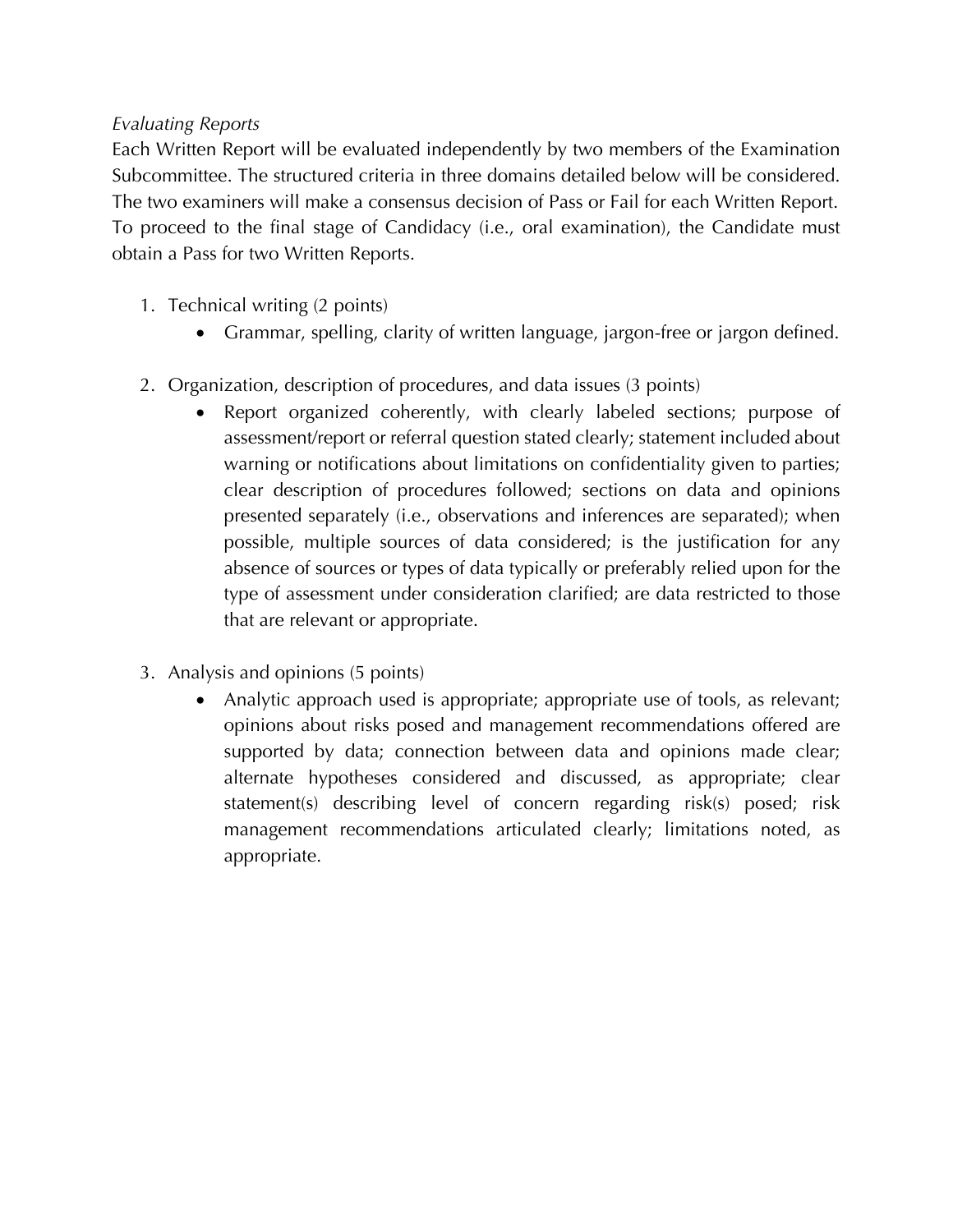### *Evaluating Reports*

Each Written Report will be evaluated independently by two members of the Examination Subcommittee. The structured criteria in three domains detailed below will be considered. The two examiners will make a consensus decision of Pass or Fail for each Written Report. To proceed to the final stage of Candidacy (i.e., oral examination), the Candidate must obtain a Pass for two Written Reports.

- 1. Technical writing (2 points)
	- Grammar, spelling, clarity of written language, jargon-free or jargon defined.
- 2. Organization, description of procedures, and data issues (3 points)
	- Report organized coherently, with clearly labeled sections; purpose of assessment/report or referral question stated clearly; statement included about warning or notifications about limitations on confidentiality given to parties; clear description of procedures followed; sections on data and opinions presented separately (i.e., observations and inferences are separated); when possible, multiple sources of data considered; is the justification for any absence of sources or types of data typically or preferably relied upon for the type of assessment under consideration clarified; are data restricted to those that are relevant or appropriate.
- 3. Analysis and opinions (5 points)
	- Analytic approach used is appropriate; appropriate use of tools, as relevant; opinions about risks posed and management recommendations offered are supported by data; connection between data and opinions made clear; alternate hypotheses considered and discussed, as appropriate; clear statement(s) describing level of concern regarding risk(s) posed; risk management recommendations articulated clearly; limitations noted, as appropriate.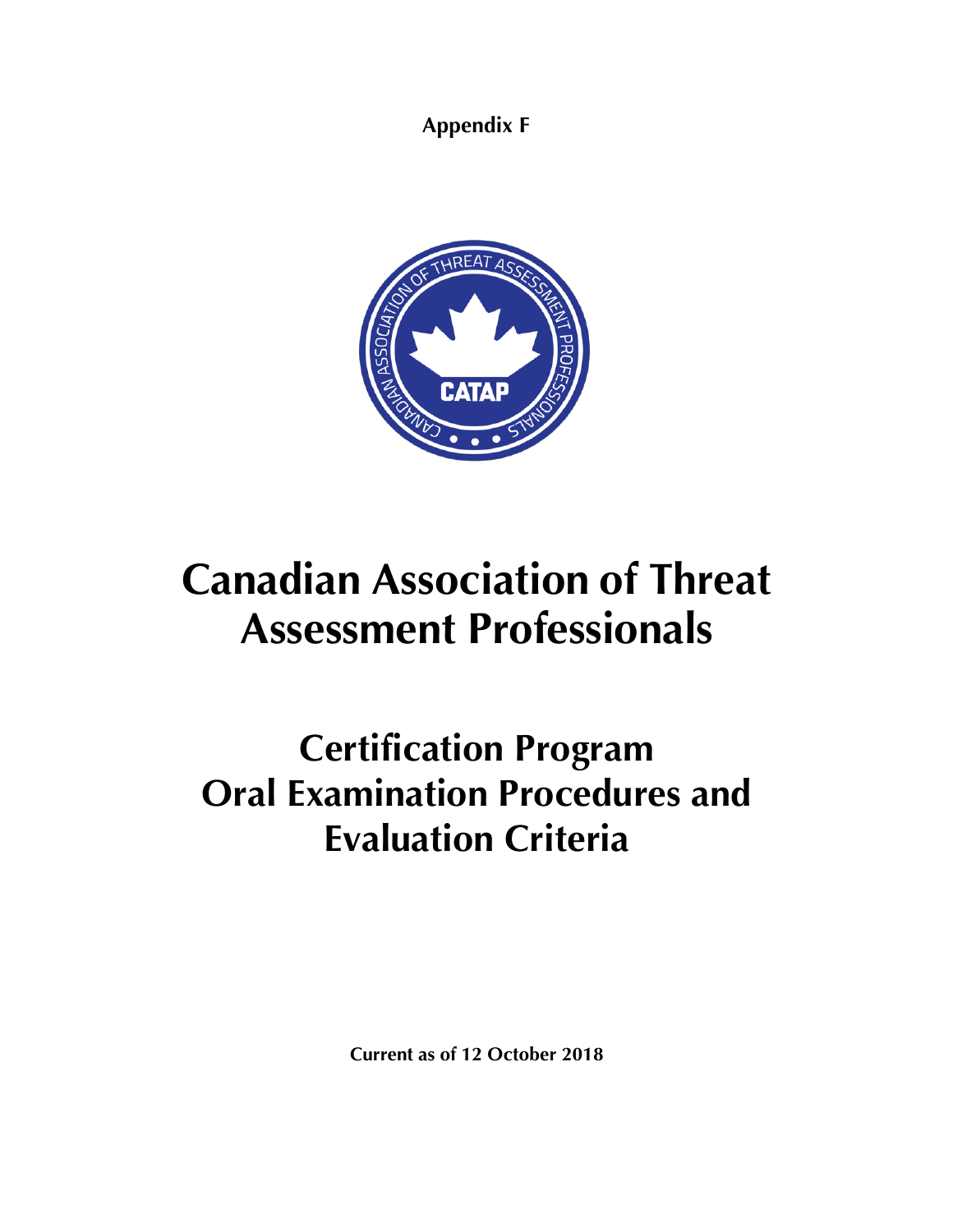**Appendix F**



# **Canadian Association of Threat Assessment Professionals**

## **Certification Program Oral Examination Procedures and Evaluation Criteria**

**Current as of 12 October 2018**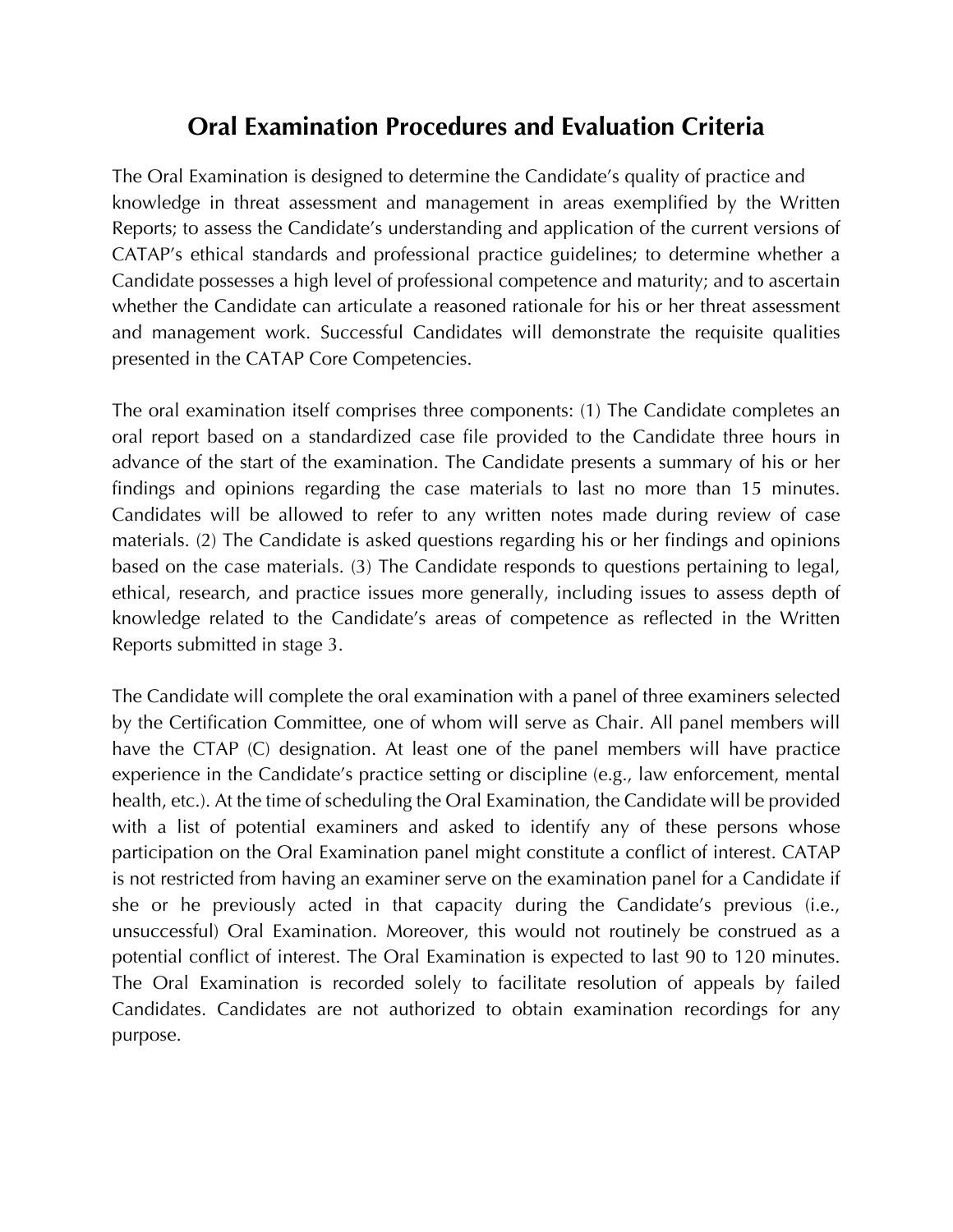### **Oral Examination Procedures and Evaluation Criteria**

The Oral Examination is designed to determine the Candidate's quality of practice and knowledge in threat assessment and management in areas exemplified by the Written Reports; to assess the Candidate's understanding and application of the current versions of CATAP's ethical standards and professional practice guidelines; to determine whether a Candidate possesses a high level of professional competence and maturity; and to ascertain whether the Candidate can articulate a reasoned rationale for his or her threat assessment and management work. Successful Candidates will demonstrate the requisite qualities presented in the CATAP Core Competencies.

The oral examination itself comprises three components: (1) The Candidate completes an oral report based on a standardized case file provided to the Candidate three hours in advance of the start of the examination. The Candidate presents a summary of his or her findings and opinions regarding the case materials to last no more than 15 minutes. Candidates will be allowed to refer to any written notes made during review of case materials. (2) The Candidate is asked questions regarding his or her findings and opinions based on the case materials. (3) The Candidate responds to questions pertaining to legal, ethical, research, and practice issues more generally, including issues to assess depth of knowledge related to the Candidate's areas of competence as reflected in the Written Reports submitted in stage 3.

The Candidate will complete the oral examination with a panel of three examiners selected by the Certification Committee, one of whom will serve as Chair. All panel members will have the CTAP (C) designation. At least one of the panel members will have practice experience in the Candidate's practice setting or discipline (e.g., law enforcement, mental health, etc.). At the time of scheduling the Oral Examination, the Candidate will be provided with a list of potential examiners and asked to identify any of these persons whose participation on the Oral Examination panel might constitute a conflict of interest. CATAP is not restricted from having an examiner serve on the examination panel for a Candidate if she or he previously acted in that capacity during the Candidate's previous (i.e., unsuccessful) Oral Examination. Moreover, this would not routinely be construed as a potential conflict of interest. The Oral Examination is expected to last 90 to 120 minutes. The Oral Examination is recorded solely to facilitate resolution of appeals by failed Candidates. Candidates are not authorized to obtain examination recordings for any purpose.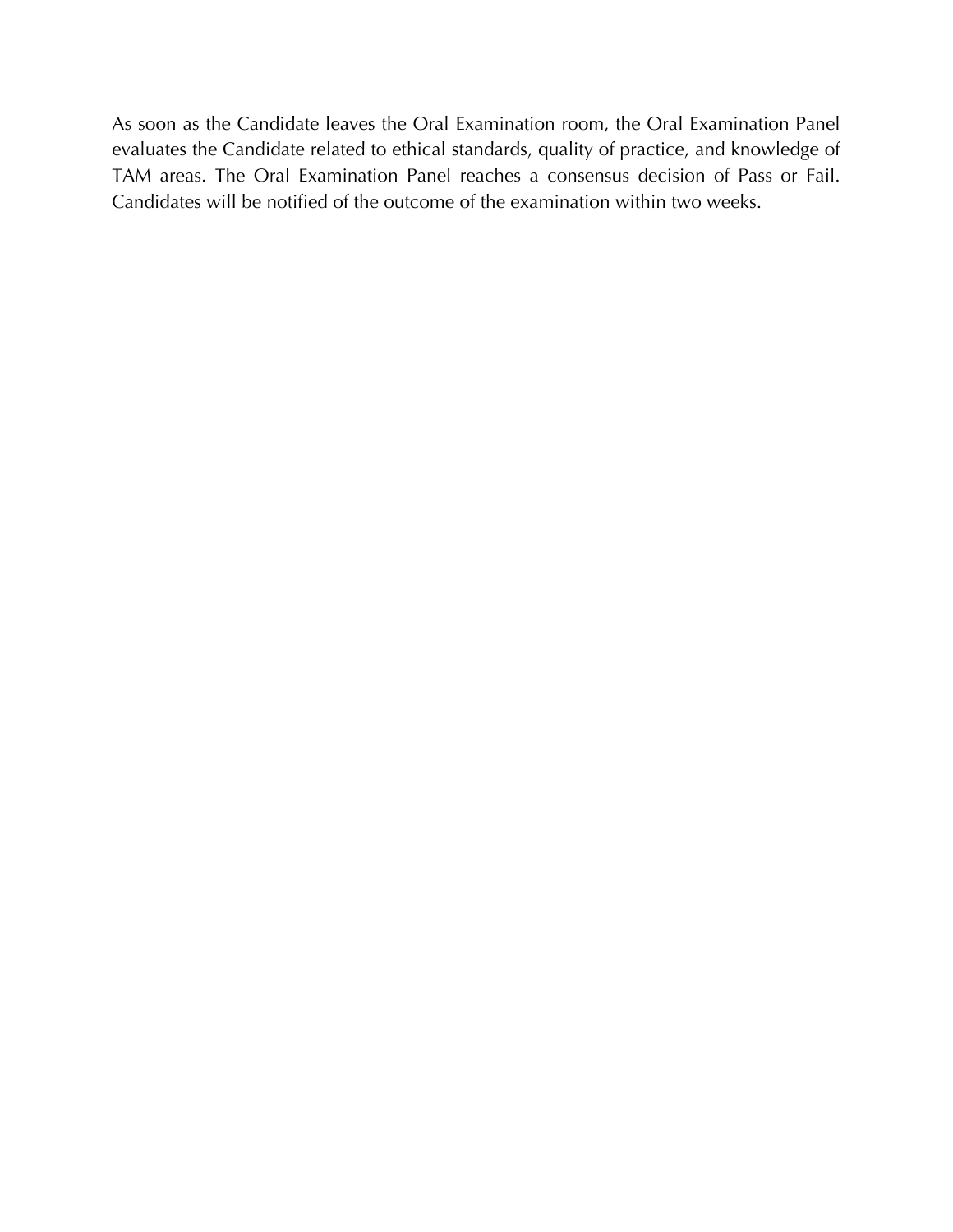As soon as the Candidate leaves the Oral Examination room, the Oral Examination Panel evaluates the Candidate related to ethical standards, quality of practice, and knowledge of TAM areas. The Oral Examination Panel reaches a consensus decision of Pass or Fail. Candidates will be notified of the outcome of the examination within two weeks.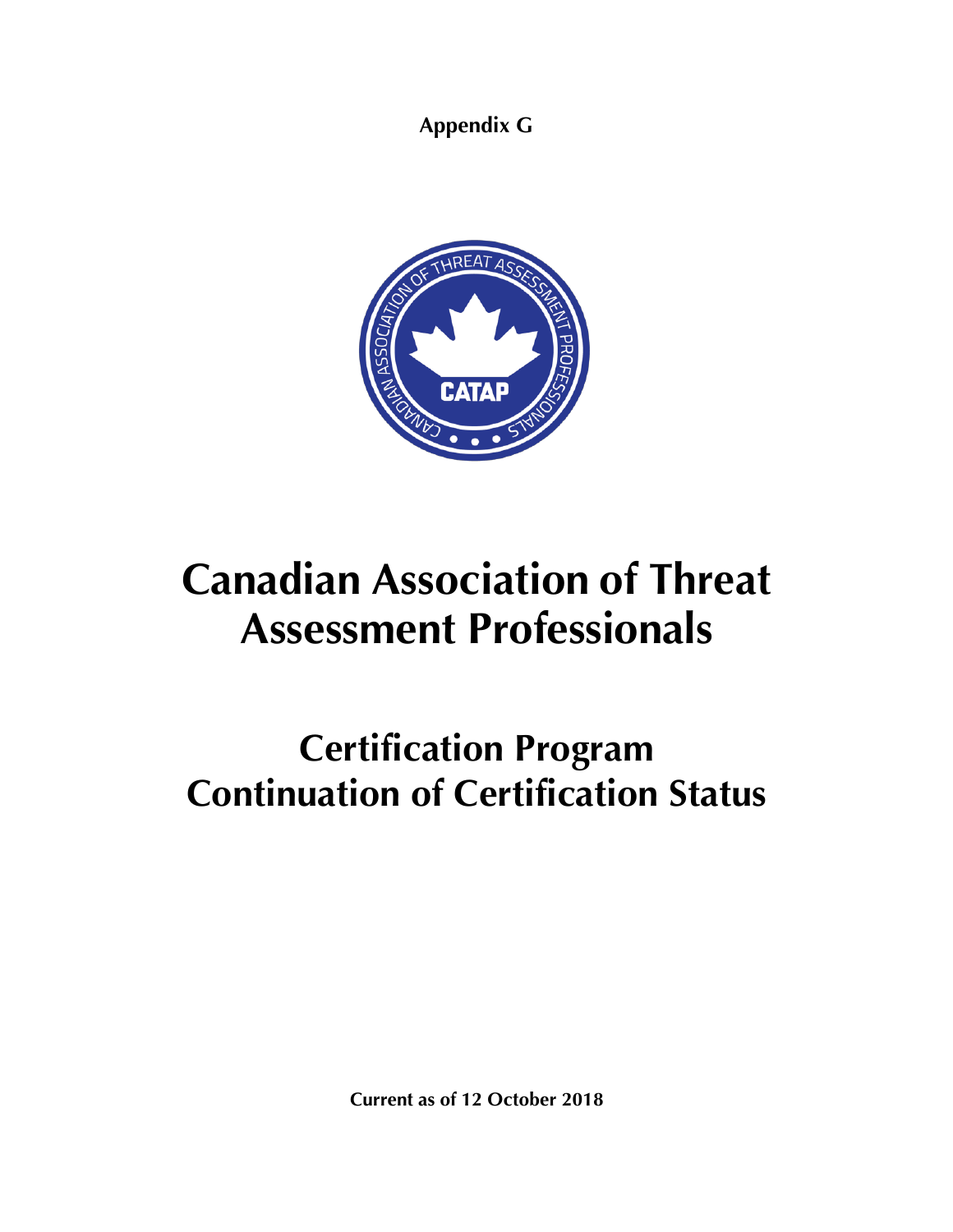**Appendix G**



# **Canadian Association of Threat Assessment Professionals**

## **Certification Program Continuation of Certification Status**

**Current as of 12 October 2018**